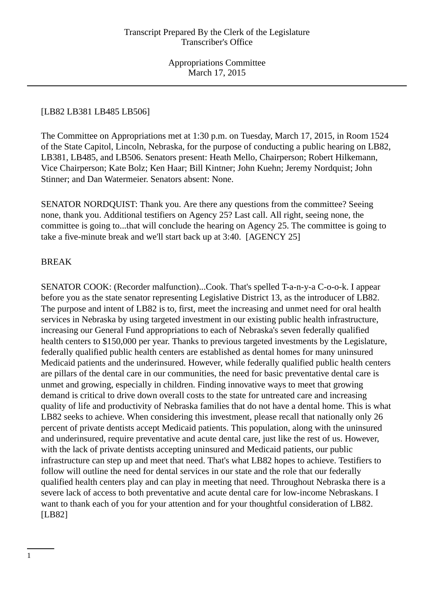## [LB82 LB381 LB485 LB506]

The Committee on Appropriations met at 1:30 p.m. on Tuesday, March 17, 2015, in Room 1524 of the State Capitol, Lincoln, Nebraska, for the purpose of conducting a public hearing on LB82, LB381, LB485, and LB506. Senators present: Heath Mello, Chairperson; Robert Hilkemann, Vice Chairperson; Kate Bolz; Ken Haar; Bill Kintner; John Kuehn; Jeremy Nordquist; John Stinner; and Dan Watermeier. Senators absent: None.

SENATOR NORDQUIST: Thank you. Are there any questions from the committee? Seeing none, thank you. Additional testifiers on Agency 25? Last call. All right, seeing none, the committee is going to...that will conclude the hearing on Agency 25. The committee is going to take a five-minute break and we'll start back up at 3:40. [AGENCY 25]

### BREAK

SENATOR COOK: (Recorder malfunction)...Cook. That's spelled T-a-n-y-a C-o-o-k. I appear before you as the state senator representing Legislative District 13, as the introducer of LB82. The purpose and intent of LB82 is to, first, meet the increasing and unmet need for oral health services in Nebraska by using targeted investment in our existing public health infrastructure, increasing our General Fund appropriations to each of Nebraska's seven federally qualified health centers to \$150,000 per year. Thanks to previous targeted investments by the Legislature, federally qualified public health centers are established as dental homes for many uninsured Medicaid patients and the underinsured. However, while federally qualified public health centers are pillars of the dental care in our communities, the need for basic preventative dental care is unmet and growing, especially in children. Finding innovative ways to meet that growing demand is critical to drive down overall costs to the state for untreated care and increasing quality of life and productivity of Nebraska families that do not have a dental home. This is what LB82 seeks to achieve. When considering this investment, please recall that nationally only 26 percent of private dentists accept Medicaid patients. This population, along with the uninsured and underinsured, require preventative and acute dental care, just like the rest of us. However, with the lack of private dentists accepting uninsured and Medicaid patients, our public infrastructure can step up and meet that need. That's what LB82 hopes to achieve. Testifiers to follow will outline the need for dental services in our state and the role that our federally qualified health centers play and can play in meeting that need. Throughout Nebraska there is a severe lack of access to both preventative and acute dental care for low-income Nebraskans. I want to thank each of you for your attention and for your thoughtful consideration of LB82. [LB82]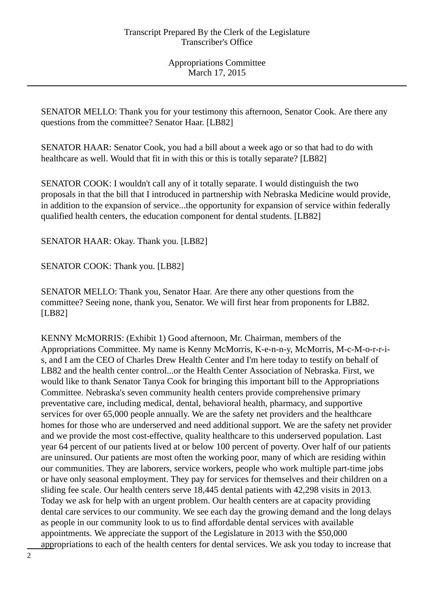SENATOR MELLO: Thank you for your testimony this afternoon, Senator Cook. Are there any questions from the committee? Senator Haar. [LB82]

SENATOR HAAR: Senator Cook, you had a bill about a week ago or so that had to do with healthcare as well. Would that fit in with this or this is totally separate? [LB82]

SENATOR COOK: I wouldn't call any of it totally separate. I would distinguish the two proposals in that the bill that I introduced in partnership with Nebraska Medicine would provide, in addition to the expansion of service...the opportunity for expansion of service within federally qualified health centers, the education component for dental students. [LB82]

SENATOR HAAR: Okay. Thank you. [LB82]

SENATOR COOK: Thank you. [LB82]

SENATOR MELLO: Thank you, Senator Haar. Are there any other questions from the committee? Seeing none, thank you, Senator. We will first hear from proponents for LB82. [LB82]

KENNY McMORRIS: (Exhibit 1) Good afternoon, Mr. Chairman, members of the Appropriations Committee. My name is Kenny McMorris, K-e-n-n-y, McMorris, M-c-M-o-r-r-is, and I am the CEO of Charles Drew Health Center and I'm here today to testify on behalf of LB82 and the health center control...or the Health Center Association of Nebraska. First, we would like to thank Senator Tanya Cook for bringing this important bill to the Appropriations Committee. Nebraska's seven community health centers provide comprehensive primary preventative care, including medical, dental, behavioral health, pharmacy, and supportive services for over 65,000 people annually. We are the safety net providers and the healthcare homes for those who are underserved and need additional support. We are the safety net provider and we provide the most cost-effective, quality healthcare to this underserved population. Last year 64 percent of our patients lived at or below 100 percent of poverty. Over half of our patients are uninsured. Our patients are most often the working poor, many of which are residing within our communities. They are laborers, service workers, people who work multiple part-time jobs or have only seasonal employment. They pay for services for themselves and their children on a sliding fee scale. Our health centers serve 18,445 dental patients with 42,298 visits in 2013. Today we ask for help with an urgent problem. Our health centers are at capacity providing dental care services to our community. We see each day the growing demand and the long delays as people in our community look to us to find affordable dental services with available appointments. We appreciate the support of the Legislature in 2013 with the \$50,000 appropriations to each of the health centers for dental services. We ask you today to increase that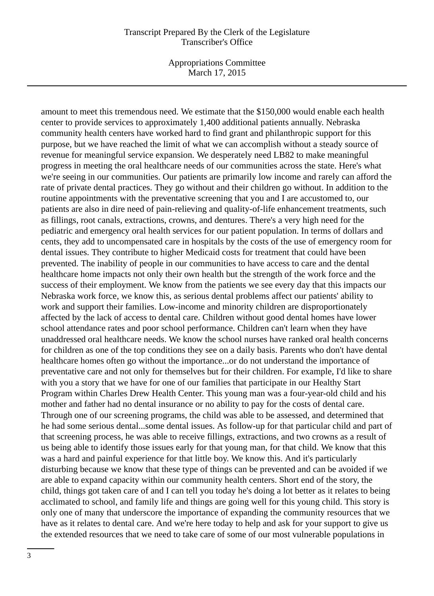Appropriations Committee March 17, 2015

amount to meet this tremendous need. We estimate that the \$150,000 would enable each health center to provide services to approximately 1,400 additional patients annually. Nebraska community health centers have worked hard to find grant and philanthropic support for this purpose, but we have reached the limit of what we can accomplish without a steady source of revenue for meaningful service expansion. We desperately need LB82 to make meaningful progress in meeting the oral healthcare needs of our communities across the state. Here's what we're seeing in our communities. Our patients are primarily low income and rarely can afford the rate of private dental practices. They go without and their children go without. In addition to the routine appointments with the preventative screening that you and I are accustomed to, our patients are also in dire need of pain-relieving and quality-of-life enhancement treatments, such as fillings, root canals, extractions, crowns, and dentures. There's a very high need for the pediatric and emergency oral health services for our patient population. In terms of dollars and cents, they add to uncompensated care in hospitals by the costs of the use of emergency room for dental issues. They contribute to higher Medicaid costs for treatment that could have been prevented. The inability of people in our communities to have access to care and the dental healthcare home impacts not only their own health but the strength of the work force and the success of their employment. We know from the patients we see every day that this impacts our Nebraska work force, we know this, as serious dental problems affect our patients' ability to work and support their families. Low-income and minority children are disproportionately affected by the lack of access to dental care. Children without good dental homes have lower school attendance rates and poor school performance. Children can't learn when they have unaddressed oral healthcare needs. We know the school nurses have ranked oral health concerns for children as one of the top conditions they see on a daily basis. Parents who don't have dental healthcare homes often go without the importance...or do not understand the importance of preventative care and not only for themselves but for their children. For example, I'd like to share with you a story that we have for one of our families that participate in our Healthy Start Program within Charles Drew Health Center. This young man was a four-year-old child and his mother and father had no dental insurance or no ability to pay for the costs of dental care. Through one of our screening programs, the child was able to be assessed, and determined that he had some serious dental...some dental issues. As follow-up for that particular child and part of that screening process, he was able to receive fillings, extractions, and two crowns as a result of us being able to identify those issues early for that young man, for that child. We know that this was a hard and painful experience for that little boy. We know this. And it's particularly disturbing because we know that these type of things can be prevented and can be avoided if we are able to expand capacity within our community health centers. Short end of the story, the child, things got taken care of and I can tell you today he's doing a lot better as it relates to being acclimated to school, and family life and things are going well for this young child. This story is only one of many that underscore the importance of expanding the community resources that we have as it relates to dental care. And we're here today to help and ask for your support to give us the extended resources that we need to take care of some of our most vulnerable populations in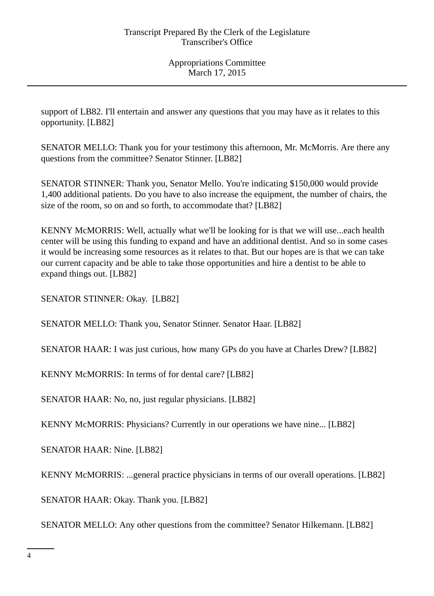support of LB82. I'll entertain and answer any questions that you may have as it relates to this opportunity. [LB82]

SENATOR MELLO: Thank you for your testimony this afternoon, Mr. McMorris. Are there any questions from the committee? Senator Stinner. [LB82]

SENATOR STINNER: Thank you, Senator Mello. You're indicating \$150,000 would provide 1,400 additional patients. Do you have to also increase the equipment, the number of chairs, the size of the room, so on and so forth, to accommodate that? [LB82]

KENNY McMORRIS: Well, actually what we'll be looking for is that we will use...each health center will be using this funding to expand and have an additional dentist. And so in some cases it would be increasing some resources as it relates to that. But our hopes are is that we can take our current capacity and be able to take those opportunities and hire a dentist to be able to expand things out. [LB82]

SENATOR STINNER: Okay. [LB82]

SENATOR MELLO: Thank you, Senator Stinner. Senator Haar. [LB82]

SENATOR HAAR: I was just curious, how many GPs do you have at Charles Drew? [LB82]

KENNY McMORRIS: In terms of for dental care? [LB82]

SENATOR HAAR: No, no, just regular physicians. [LB82]

KENNY McMORRIS: Physicians? Currently in our operations we have nine... [LB82]

SENATOR HAAR: Nine. [LB82]

KENNY McMORRIS: ...general practice physicians in terms of our overall operations. [LB82]

SENATOR HAAR: Okay. Thank you. [LB82]

SENATOR MELLO: Any other questions from the committee? Senator Hilkemann. [LB82]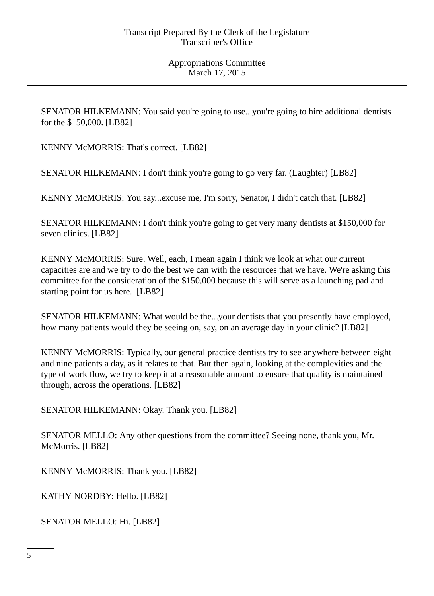SENATOR HILKEMANN: You said you're going to use...you're going to hire additional dentists for the \$150,000. [LB82]

KENNY McMORRIS: That's correct. [LB82]

SENATOR HILKEMANN: I don't think you're going to go very far. (Laughter) [LB82]

KENNY McMORRIS: You say...excuse me, I'm sorry, Senator, I didn't catch that. [LB82]

SENATOR HILKEMANN: I don't think you're going to get very many dentists at \$150,000 for seven clinics. [LB82]

KENNY McMORRIS: Sure. Well, each, I mean again I think we look at what our current capacities are and we try to do the best we can with the resources that we have. We're asking this committee for the consideration of the \$150,000 because this will serve as a launching pad and starting point for us here. [LB82]

SENATOR HILKEMANN: What would be the...your dentists that you presently have employed, how many patients would they be seeing on, say, on an average day in your clinic? [LB82]

KENNY McMORRIS: Typically, our general practice dentists try to see anywhere between eight and nine patients a day, as it relates to that. But then again, looking at the complexities and the type of work flow, we try to keep it at a reasonable amount to ensure that quality is maintained through, across the operations. [LB82]

SENATOR HILKEMANN: Okay. Thank you. [LB82]

SENATOR MELLO: Any other questions from the committee? Seeing none, thank you, Mr. McMorris. [LB82]

KENNY McMORRIS: Thank you. [LB82]

KATHY NORDBY: Hello. [LB82]

SENATOR MELLO: Hi. [LB82]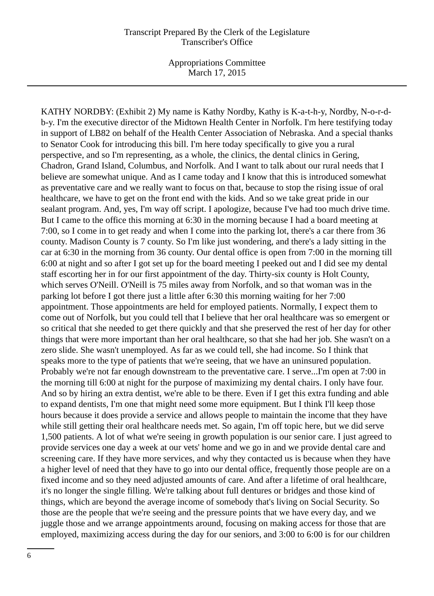Appropriations Committee March 17, 2015

KATHY NORDBY: (Exhibit 2) My name is Kathy Nordby, Kathy is K-a-t-h-y, Nordby, N-o-r-db-y. I'm the executive director of the Midtown Health Center in Norfolk. I'm here testifying today in support of LB82 on behalf of the Health Center Association of Nebraska. And a special thanks to Senator Cook for introducing this bill. I'm here today specifically to give you a rural perspective, and so I'm representing, as a whole, the clinics, the dental clinics in Gering, Chadron, Grand Island, Columbus, and Norfolk. And I want to talk about our rural needs that I believe are somewhat unique. And as I came today and I know that this is introduced somewhat as preventative care and we really want to focus on that, because to stop the rising issue of oral healthcare, we have to get on the front end with the kids. And so we take great pride in our sealant program. And, yes, I'm way off script. I apologize, because I've had too much drive time. But I came to the office this morning at 6:30 in the morning because I had a board meeting at 7:00, so I come in to get ready and when I come into the parking lot, there's a car there from 36 county. Madison County is 7 county. So I'm like just wondering, and there's a lady sitting in the car at 6:30 in the morning from 36 county. Our dental office is open from 7:00 in the morning till 6:00 at night and so after I got set up for the board meeting I peeked out and I did see my dental staff escorting her in for our first appointment of the day. Thirty-six county is Holt County, which serves O'Neill. O'Neill is 75 miles away from Norfolk, and so that woman was in the parking lot before I got there just a little after 6:30 this morning waiting for her 7:00 appointment. Those appointments are held for employed patients. Normally, I expect them to come out of Norfolk, but you could tell that I believe that her oral healthcare was so emergent or so critical that she needed to get there quickly and that she preserved the rest of her day for other things that were more important than her oral healthcare, so that she had her job. She wasn't on a zero slide. She wasn't unemployed. As far as we could tell, she had income. So I think that speaks more to the type of patients that we're seeing, that we have an uninsured population. Probably we're not far enough downstream to the preventative care. I serve...I'm open at 7:00 in the morning till 6:00 at night for the purpose of maximizing my dental chairs. I only have four. And so by hiring an extra dentist, we're able to be there. Even if I get this extra funding and able to expand dentists, I'm one that might need some more equipment. But I think I'll keep those hours because it does provide a service and allows people to maintain the income that they have while still getting their oral healthcare needs met. So again, I'm off topic here, but we did serve 1,500 patients. A lot of what we're seeing in growth population is our senior care. I just agreed to provide services one day a week at our vets' home and we go in and we provide dental care and screening care. If they have more services, and why they contacted us is because when they have a higher level of need that they have to go into our dental office, frequently those people are on a fixed income and so they need adjusted amounts of care. And after a lifetime of oral healthcare, it's no longer the single filling. We're talking about full dentures or bridges and those kind of things, which are beyond the average income of somebody that's living on Social Security. So those are the people that we're seeing and the pressure points that we have every day, and we juggle those and we arrange appointments around, focusing on making access for those that are employed, maximizing access during the day for our seniors, and 3:00 to 6:00 is for our children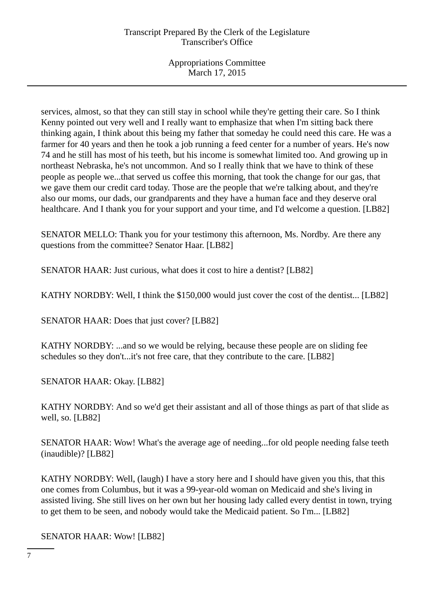services, almost, so that they can still stay in school while they're getting their care. So I think Kenny pointed out very well and I really want to emphasize that when I'm sitting back there thinking again, I think about this being my father that someday he could need this care. He was a farmer for 40 years and then he took a job running a feed center for a number of years. He's now 74 and he still has most of his teeth, but his income is somewhat limited too. And growing up in northeast Nebraska, he's not uncommon. And so I really think that we have to think of these people as people we...that served us coffee this morning, that took the change for our gas, that we gave them our credit card today. Those are the people that we're talking about, and they're also our moms, our dads, our grandparents and they have a human face and they deserve oral healthcare. And I thank you for your support and your time, and I'd welcome a question. [LB82]

SENATOR MELLO: Thank you for your testimony this afternoon, Ms. Nordby. Are there any questions from the committee? Senator Haar. [LB82]

SENATOR HAAR: Just curious, what does it cost to hire a dentist? [LB82]

KATHY NORDBY: Well, I think the \$150,000 would just cover the cost of the dentist... [LB82]

SENATOR HAAR: Does that just cover? [LB82]

KATHY NORDBY: ...and so we would be relying, because these people are on sliding fee schedules so they don't...it's not free care, that they contribute to the care. [LB82]

SENATOR HAAR: Okay. [LB82]

KATHY NORDBY: And so we'd get their assistant and all of those things as part of that slide as well, so. [LB82]

SENATOR HAAR: Wow! What's the average age of needing...for old people needing false teeth (inaudible)? [LB82]

KATHY NORDBY: Well, (laugh) I have a story here and I should have given you this, that this one comes from Columbus, but it was a 99-year-old woman on Medicaid and she's living in assisted living. She still lives on her own but her housing lady called every dentist in town, trying to get them to be seen, and nobody would take the Medicaid patient. So I'm... [LB82]

SENATOR HAAR: Wow! [LB82]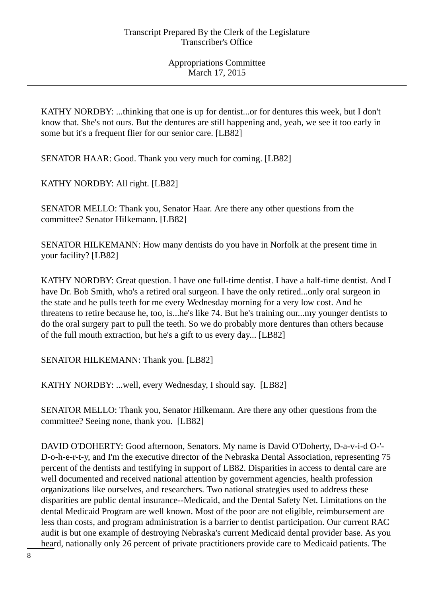KATHY NORDBY: ...thinking that one is up for dentist...or for dentures this week, but I don't know that. She's not ours. But the dentures are still happening and, yeah, we see it too early in some but it's a frequent flier for our senior care. [LB82]

SENATOR HAAR: Good. Thank you very much for coming. [LB82]

KATHY NORDBY: All right. [LB82]

SENATOR MELLO: Thank you, Senator Haar. Are there any other questions from the committee? Senator Hilkemann. [LB82]

SENATOR HILKEMANN: How many dentists do you have in Norfolk at the present time in your facility? [LB82]

KATHY NORDBY: Great question. I have one full-time dentist. I have a half-time dentist. And I have Dr. Bob Smith, who's a retired oral surgeon. I have the only retired...only oral surgeon in the state and he pulls teeth for me every Wednesday morning for a very low cost. And he threatens to retire because he, too, is...he's like 74. But he's training our...my younger dentists to do the oral surgery part to pull the teeth. So we do probably more dentures than others because of the full mouth extraction, but he's a gift to us every day... [LB82]

SENATOR HILKEMANN: Thank you. [LB82]

KATHY NORDBY: ...well, every Wednesday, I should say. [LB82]

SENATOR MELLO: Thank you, Senator Hilkemann. Are there any other questions from the committee? Seeing none, thank you. [LB82]

DAVID O'DOHERTY: Good afternoon, Senators. My name is David O'Doherty, D-a-v-i-d O-'- D-o-h-e-r-t-y, and I'm the executive director of the Nebraska Dental Association, representing 75 percent of the dentists and testifying in support of LB82. Disparities in access to dental care are well documented and received national attention by government agencies, health profession organizations like ourselves, and researchers. Two national strategies used to address these disparities are public dental insurance--Medicaid, and the Dental Safety Net. Limitations on the dental Medicaid Program are well known. Most of the poor are not eligible, reimbursement are less than costs, and program administration is a barrier to dentist participation. Our current RAC audit is but one example of destroying Nebraska's current Medicaid dental provider base. As you heard, nationally only 26 percent of private practitioners provide care to Medicaid patients. The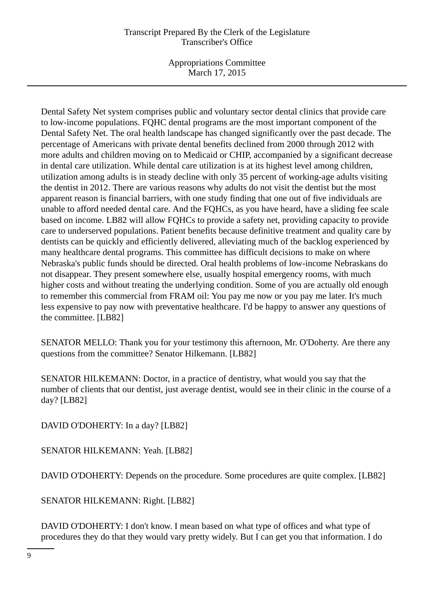Appropriations Committee March 17, 2015

Dental Safety Net system comprises public and voluntary sector dental clinics that provide care to low-income populations. FQHC dental programs are the most important component of the Dental Safety Net. The oral health landscape has changed significantly over the past decade. The percentage of Americans with private dental benefits declined from 2000 through 2012 with more adults and children moving on to Medicaid or CHIP, accompanied by a significant decrease in dental care utilization. While dental care utilization is at its highest level among children, utilization among adults is in steady decline with only 35 percent of working-age adults visiting the dentist in 2012. There are various reasons why adults do not visit the dentist but the most apparent reason is financial barriers, with one study finding that one out of five individuals are unable to afford needed dental care. And the FQHCs, as you have heard, have a sliding fee scale based on income. LB82 will allow FQHCs to provide a safety net, providing capacity to provide care to underserved populations. Patient benefits because definitive treatment and quality care by dentists can be quickly and efficiently delivered, alleviating much of the backlog experienced by many healthcare dental programs. This committee has difficult decisions to make on where Nebraska's public funds should be directed. Oral health problems of low-income Nebraskans do not disappear. They present somewhere else, usually hospital emergency rooms, with much higher costs and without treating the underlying condition. Some of you are actually old enough to remember this commercial from FRAM oil: You pay me now or you pay me later. It's much less expensive to pay now with preventative healthcare. I'd be happy to answer any questions of the committee. [LB82]

SENATOR MELLO: Thank you for your testimony this afternoon, Mr. O'Doherty. Are there any questions from the committee? Senator Hilkemann. [LB82]

SENATOR HILKEMANN: Doctor, in a practice of dentistry, what would you say that the number of clients that our dentist, just average dentist, would see in their clinic in the course of a day? [LB82]

DAVID O'DOHERTY: In a day? [LB82]

SENATOR HILKEMANN: Yeah. [LB82]

DAVID O'DOHERTY: Depends on the procedure. Some procedures are quite complex. [LB82]

SENATOR HILKEMANN: Right. [LB82]

DAVID O'DOHERTY: I don't know. I mean based on what type of offices and what type of procedures they do that they would vary pretty widely. But I can get you that information. I do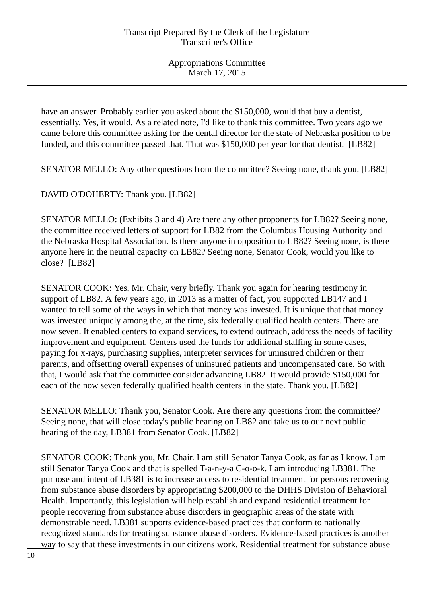have an answer. Probably earlier you asked about the \$150,000, would that buy a dentist, essentially. Yes, it would. As a related note, I'd like to thank this committee. Two years ago we came before this committee asking for the dental director for the state of Nebraska position to be funded, and this committee passed that. That was \$150,000 per year for that dentist. [LB82]

SENATOR MELLO: Any other questions from the committee? Seeing none, thank you. [LB82]

DAVID O'DOHERTY: Thank you. [LB82]

SENATOR MELLO: (Exhibits 3 and 4) Are there any other proponents for LB82? Seeing none, the committee received letters of support for LB82 from the Columbus Housing Authority and the Nebraska Hospital Association. Is there anyone in opposition to LB82? Seeing none, is there anyone here in the neutral capacity on LB82? Seeing none, Senator Cook, would you like to close? [LB82]

SENATOR COOK: Yes, Mr. Chair, very briefly. Thank you again for hearing testimony in support of LB82. A few years ago, in 2013 as a matter of fact, you supported LB147 and I wanted to tell some of the ways in which that money was invested. It is unique that that money was invested uniquely among the, at the time, six federally qualified health centers. There are now seven. It enabled centers to expand services, to extend outreach, address the needs of facility improvement and equipment. Centers used the funds for additional staffing in some cases, paying for x-rays, purchasing supplies, interpreter services for uninsured children or their parents, and offsetting overall expenses of uninsured patients and uncompensated care. So with that, I would ask that the committee consider advancing LB82. It would provide \$150,000 for each of the now seven federally qualified health centers in the state. Thank you. [LB82]

SENATOR MELLO: Thank you, Senator Cook. Are there any questions from the committee? Seeing none, that will close today's public hearing on LB82 and take us to our next public hearing of the day, LB381 from Senator Cook. [LB82]

SENATOR COOK: Thank you, Mr. Chair. I am still Senator Tanya Cook, as far as I know. I am still Senator Tanya Cook and that is spelled T-a-n-y-a C-o-o-k. I am introducing LB381. The purpose and intent of LB381 is to increase access to residential treatment for persons recovering from substance abuse disorders by appropriating \$200,000 to the DHHS Division of Behavioral Health. Importantly, this legislation will help establish and expand residential treatment for people recovering from substance abuse disorders in geographic areas of the state with demonstrable need. LB381 supports evidence-based practices that conform to nationally recognized standards for treating substance abuse disorders. Evidence-based practices is another way to say that these investments in our citizens work. Residential treatment for substance abuse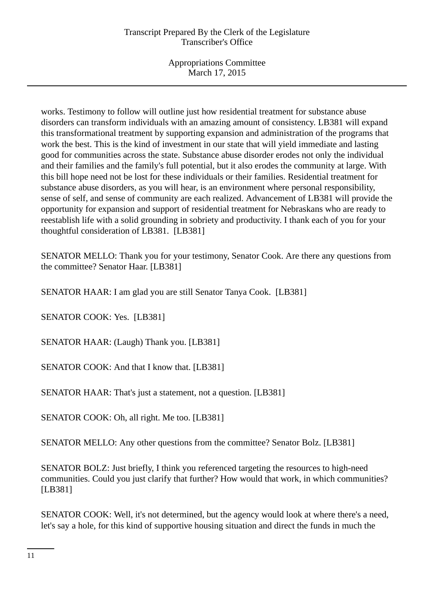Appropriations Committee March 17, 2015

works. Testimony to follow will outline just how residential treatment for substance abuse disorders can transform individuals with an amazing amount of consistency. LB381 will expand this transformational treatment by supporting expansion and administration of the programs that work the best. This is the kind of investment in our state that will yield immediate and lasting good for communities across the state. Substance abuse disorder erodes not only the individual and their families and the family's full potential, but it also erodes the community at large. With this bill hope need not be lost for these individuals or their families. Residential treatment for substance abuse disorders, as you will hear, is an environment where personal responsibility, sense of self, and sense of community are each realized. Advancement of LB381 will provide the opportunity for expansion and support of residential treatment for Nebraskans who are ready to reestablish life with a solid grounding in sobriety and productivity. I thank each of you for your thoughtful consideration of LB381. [LB381]

SENATOR MELLO: Thank you for your testimony, Senator Cook. Are there any questions from the committee? Senator Haar. [LB381]

SENATOR HAAR: I am glad you are still Senator Tanya Cook. [LB381]

SENATOR COOK: Yes. [LB381]

SENATOR HAAR: (Laugh) Thank you. [LB381]

SENATOR COOK: And that I know that. [LB381]

SENATOR HAAR: That's just a statement, not a question. [LB381]

SENATOR COOK: Oh, all right. Me too. [LB381]

SENATOR MELLO: Any other questions from the committee? Senator Bolz. [LB381]

SENATOR BOLZ: Just briefly, I think you referenced targeting the resources to high-need communities. Could you just clarify that further? How would that work, in which communities? [LB381]

SENATOR COOK: Well, it's not determined, but the agency would look at where there's a need, let's say a hole, for this kind of supportive housing situation and direct the funds in much the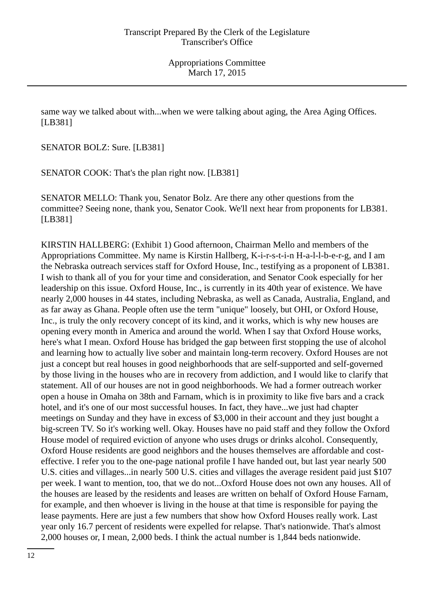same way we talked about with...when we were talking about aging, the Area Aging Offices. [LB381]

SENATOR BOLZ: Sure. [LB381]

SENATOR COOK: That's the plan right now. [LB381]

SENATOR MELLO: Thank you, Senator Bolz. Are there any other questions from the committee? Seeing none, thank you, Senator Cook. We'll next hear from proponents for LB381. [LB381]

KIRSTIN HALLBERG: (Exhibit 1) Good afternoon, Chairman Mello and members of the Appropriations Committee. My name is Kirstin Hallberg, K-i-r-s-t-i-n H-a-l-l-b-e-r-g, and I am the Nebraska outreach services staff for Oxford House, Inc., testifying as a proponent of LB381. I wish to thank all of you for your time and consideration, and Senator Cook especially for her leadership on this issue. Oxford House, Inc., is currently in its 40th year of existence. We have nearly 2,000 houses in 44 states, including Nebraska, as well as Canada, Australia, England, and as far away as Ghana. People often use the term "unique" loosely, but OHI, or Oxford House, Inc., is truly the only recovery concept of its kind, and it works, which is why new houses are opening every month in America and around the world. When I say that Oxford House works, here's what I mean. Oxford House has bridged the gap between first stopping the use of alcohol and learning how to actually live sober and maintain long-term recovery. Oxford Houses are not just a concept but real houses in good neighborhoods that are self-supported and self-governed by those living in the houses who are in recovery from addiction, and I would like to clarify that statement. All of our houses are not in good neighborhoods. We had a former outreach worker open a house in Omaha on 38th and Farnam, which is in proximity to like five bars and a crack hotel, and it's one of our most successful houses. In fact, they have...we just had chapter meetings on Sunday and they have in excess of \$3,000 in their account and they just bought a big-screen TV. So it's working well. Okay. Houses have no paid staff and they follow the Oxford House model of required eviction of anyone who uses drugs or drinks alcohol. Consequently, Oxford House residents are good neighbors and the houses themselves are affordable and costeffective. I refer you to the one-page national profile I have handed out, but last year nearly 500 U.S. cities and villages...in nearly 500 U.S. cities and villages the average resident paid just \$107 per week. I want to mention, too, that we do not...Oxford House does not own any houses. All of the houses are leased by the residents and leases are written on behalf of Oxford House Farnam, for example, and then whoever is living in the house at that time is responsible for paying the lease payments. Here are just a few numbers that show how Oxford Houses really work. Last year only 16.7 percent of residents were expelled for relapse. That's nationwide. That's almost 2,000 houses or, I mean, 2,000 beds. I think the actual number is 1,844 beds nationwide.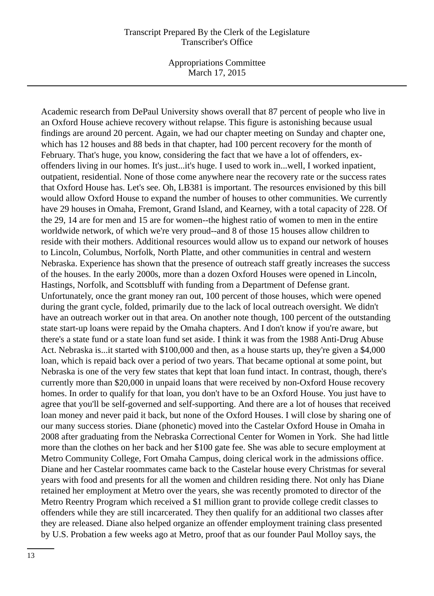Appropriations Committee March 17, 2015

Academic research from DePaul University shows overall that 87 percent of people who live in an Oxford House achieve recovery without relapse. This figure is astonishing because usual findings are around 20 percent. Again, we had our chapter meeting on Sunday and chapter one, which has 12 houses and 88 beds in that chapter, had 100 percent recovery for the month of February. That's huge, you know, considering the fact that we have a lot of offenders, exoffenders living in our homes. It's just...it's huge. I used to work in...well, I worked inpatient, outpatient, residential. None of those come anywhere near the recovery rate or the success rates that Oxford House has. Let's see. Oh, LB381 is important. The resources envisioned by this bill would allow Oxford House to expand the number of houses to other communities. We currently have 29 houses in Omaha, Fremont, Grand Island, and Kearney, with a total capacity of 228. Of the 29, 14 are for men and 15 are for women--the highest ratio of women to men in the entire worldwide network, of which we're very proud--and 8 of those 15 houses allow children to reside with their mothers. Additional resources would allow us to expand our network of houses to Lincoln, Columbus, Norfolk, North Platte, and other communities in central and western Nebraska. Experience has shown that the presence of outreach staff greatly increases the success of the houses. In the early 2000s, more than a dozen Oxford Houses were opened in Lincoln, Hastings, Norfolk, and Scottsbluff with funding from a Department of Defense grant. Unfortunately, once the grant money ran out, 100 percent of those houses, which were opened during the grant cycle, folded, primarily due to the lack of local outreach oversight. We didn't have an outreach worker out in that area. On another note though, 100 percent of the outstanding state start-up loans were repaid by the Omaha chapters. And I don't know if you're aware, but there's a state fund or a state loan fund set aside. I think it was from the 1988 Anti-Drug Abuse Act. Nebraska is...it started with \$100,000 and then, as a house starts up, they're given a \$4,000 loan, which is repaid back over a period of two years. That became optional at some point, but Nebraska is one of the very few states that kept that loan fund intact. In contrast, though, there's currently more than \$20,000 in unpaid loans that were received by non-Oxford House recovery homes. In order to qualify for that loan, you don't have to be an Oxford House. You just have to agree that you'll be self-governed and self-supporting. And there are a lot of houses that received loan money and never paid it back, but none of the Oxford Houses. I will close by sharing one of our many success stories. Diane (phonetic) moved into the Castelar Oxford House in Omaha in 2008 after graduating from the Nebraska Correctional Center for Women in York. She had little more than the clothes on her back and her \$100 gate fee. She was able to secure employment at Metro Community College, Fort Omaha Campus, doing clerical work in the admissions office. Diane and her Castelar roommates came back to the Castelar house every Christmas for several years with food and presents for all the women and children residing there. Not only has Diane retained her employment at Metro over the years, she was recently promoted to director of the Metro Reentry Program which received a \$1 million grant to provide college credit classes to offenders while they are still incarcerated. They then qualify for an additional two classes after they are released. Diane also helped organize an offender employment training class presented by U.S. Probation a few weeks ago at Metro, proof that as our founder Paul Molloy says, the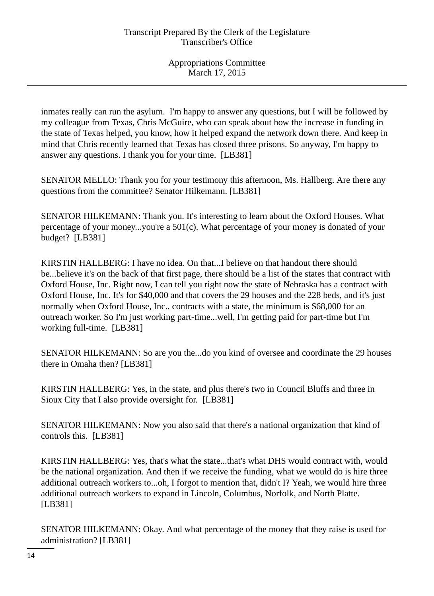inmates really can run the asylum. I'm happy to answer any questions, but I will be followed by my colleague from Texas, Chris McGuire, who can speak about how the increase in funding in the state of Texas helped, you know, how it helped expand the network down there. And keep in mind that Chris recently learned that Texas has closed three prisons. So anyway, I'm happy to answer any questions. I thank you for your time. [LB381]

SENATOR MELLO: Thank you for your testimony this afternoon, Ms. Hallberg. Are there any questions from the committee? Senator Hilkemann. [LB381]

SENATOR HILKEMANN: Thank you. It's interesting to learn about the Oxford Houses. What percentage of your money...you're a  $501(c)$ . What percentage of your money is donated of your budget? [LB381]

KIRSTIN HALLBERG: I have no idea. On that...I believe on that handout there should be...believe it's on the back of that first page, there should be a list of the states that contract with Oxford House, Inc. Right now, I can tell you right now the state of Nebraska has a contract with Oxford House, Inc. It's for \$40,000 and that covers the 29 houses and the 228 beds, and it's just normally when Oxford House, Inc., contracts with a state, the minimum is \$68,000 for an outreach worker. So I'm just working part-time...well, I'm getting paid for part-time but I'm working full-time. [LB381]

SENATOR HILKEMANN: So are you the...do you kind of oversee and coordinate the 29 houses there in Omaha then? [LB381]

KIRSTIN HALLBERG: Yes, in the state, and plus there's two in Council Bluffs and three in Sioux City that I also provide oversight for. [LB381]

SENATOR HILKEMANN: Now you also said that there's a national organization that kind of controls this. [LB381]

KIRSTIN HALLBERG: Yes, that's what the state...that's what DHS would contract with, would be the national organization. And then if we receive the funding, what we would do is hire three additional outreach workers to...oh, I forgot to mention that, didn't I? Yeah, we would hire three additional outreach workers to expand in Lincoln, Columbus, Norfolk, and North Platte. [LB381]

SENATOR HILKEMANN: Okay. And what percentage of the money that they raise is used for administration? [LB381]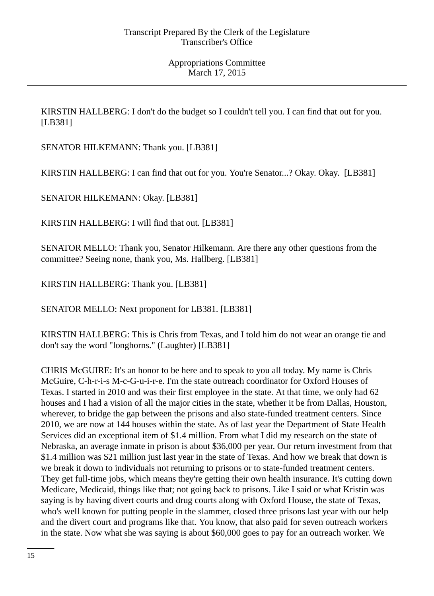KIRSTIN HALLBERG: I don't do the budget so I couldn't tell you. I can find that out for you. [LB381]

SENATOR HILKEMANN: Thank you. [LB381]

KIRSTIN HALLBERG: I can find that out for you. You're Senator...? Okay. Okay. [LB381]

SENATOR HILKEMANN: Okay. [LB381]

KIRSTIN HALLBERG: I will find that out. [LB381]

SENATOR MELLO: Thank you, Senator Hilkemann. Are there any other questions from the committee? Seeing none, thank you, Ms. Hallberg. [LB381]

KIRSTIN HALLBERG: Thank you. [LB381]

SENATOR MELLO: Next proponent for LB381. [LB381]

KIRSTIN HALLBERG: This is Chris from Texas, and I told him do not wear an orange tie and don't say the word "longhorns." (Laughter) [LB381]

CHRIS McGUIRE: It's an honor to be here and to speak to you all today. My name is Chris McGuire, C-h-r-i-s M-c-G-u-i-r-e. I'm the state outreach coordinator for Oxford Houses of Texas. I started in 2010 and was their first employee in the state. At that time, we only had 62 houses and I had a vision of all the major cities in the state, whether it be from Dallas, Houston, wherever, to bridge the gap between the prisons and also state-funded treatment centers. Since 2010, we are now at 144 houses within the state. As of last year the Department of State Health Services did an exceptional item of \$1.4 million. From what I did my research on the state of Nebraska, an average inmate in prison is about \$36,000 per year. Our return investment from that \$1.4 million was \$21 million just last year in the state of Texas. And how we break that down is we break it down to individuals not returning to prisons or to state-funded treatment centers. They get full-time jobs, which means they're getting their own health insurance. It's cutting down Medicare, Medicaid, things like that; not going back to prisons. Like I said or what Kristin was saying is by having divert courts and drug courts along with Oxford House, the state of Texas, who's well known for putting people in the slammer, closed three prisons last year with our help and the divert court and programs like that. You know, that also paid for seven outreach workers in the state. Now what she was saying is about \$60,000 goes to pay for an outreach worker. We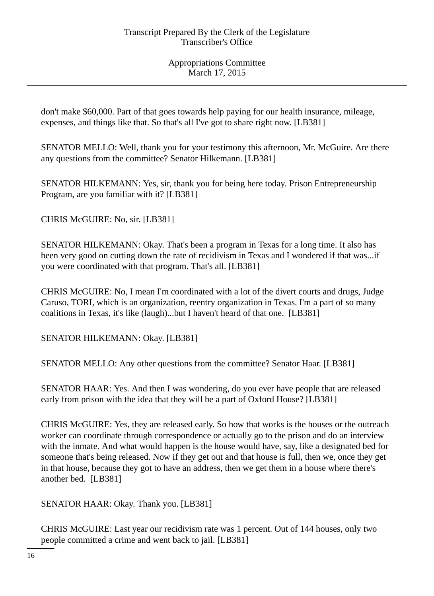don't make \$60,000. Part of that goes towards help paying for our health insurance, mileage, expenses, and things like that. So that's all I've got to share right now. [LB381]

SENATOR MELLO: Well, thank you for your testimony this afternoon, Mr. McGuire. Are there any questions from the committee? Senator Hilkemann. [LB381]

SENATOR HILKEMANN: Yes, sir, thank you for being here today. Prison Entrepreneurship Program, are you familiar with it? [LB381]

CHRIS McGUIRE: No, sir. [LB381]

SENATOR HILKEMANN: Okay. That's been a program in Texas for a long time. It also has been very good on cutting down the rate of recidivism in Texas and I wondered if that was...if you were coordinated with that program. That's all. [LB381]

CHRIS McGUIRE: No, I mean I'm coordinated with a lot of the divert courts and drugs, Judge Caruso, TORI, which is an organization, reentry organization in Texas. I'm a part of so many coalitions in Texas, it's like (laugh)...but I haven't heard of that one. [LB381]

SENATOR HILKEMANN: Okay. [LB381]

SENATOR MELLO: Any other questions from the committee? Senator Haar. [LB381]

SENATOR HAAR: Yes. And then I was wondering, do you ever have people that are released early from prison with the idea that they will be a part of Oxford House? [LB381]

CHRIS McGUIRE: Yes, they are released early. So how that works is the houses or the outreach worker can coordinate through correspondence or actually go to the prison and do an interview with the inmate. And what would happen is the house would have, say, like a designated bed for someone that's being released. Now if they get out and that house is full, then we, once they get in that house, because they got to have an address, then we get them in a house where there's another bed. [LB381]

SENATOR HAAR: Okay. Thank you. [LB381]

CHRIS McGUIRE: Last year our recidivism rate was 1 percent. Out of 144 houses, only two people committed a crime and went back to jail. [LB381]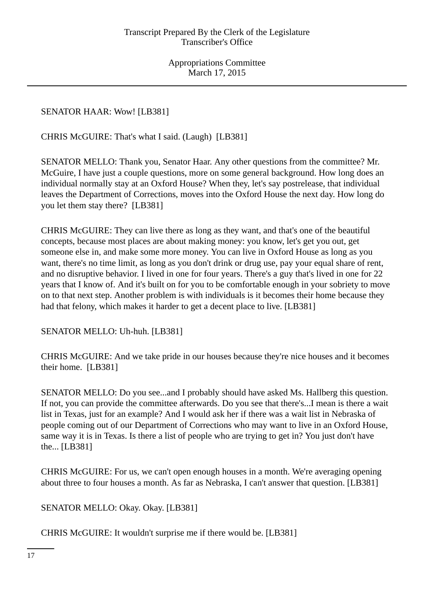SENATOR HAAR: Wow! [LB381]

CHRIS McGUIRE: That's what I said. (Laugh) [LB381]

SENATOR MELLO: Thank you, Senator Haar. Any other questions from the committee? Mr. McGuire, I have just a couple questions, more on some general background. How long does an individual normally stay at an Oxford House? When they, let's say postrelease, that individual leaves the Department of Corrections, moves into the Oxford House the next day. How long do you let them stay there? [LB381]

CHRIS McGUIRE: They can live there as long as they want, and that's one of the beautiful concepts, because most places are about making money: you know, let's get you out, get someone else in, and make some more money. You can live in Oxford House as long as you want, there's no time limit, as long as you don't drink or drug use, pay your equal share of rent, and no disruptive behavior. I lived in one for four years. There's a guy that's lived in one for 22 years that I know of. And it's built on for you to be comfortable enough in your sobriety to move on to that next step. Another problem is with individuals is it becomes their home because they had that felony, which makes it harder to get a decent place to live. [LB381]

SENATOR MELLO: Uh-huh. [LB381]

CHRIS McGUIRE: And we take pride in our houses because they're nice houses and it becomes their home. [LB381]

SENATOR MELLO: Do you see...and I probably should have asked Ms. Hallberg this question. If not, you can provide the committee afterwards. Do you see that there's...I mean is there a wait list in Texas, just for an example? And I would ask her if there was a wait list in Nebraska of people coming out of our Department of Corrections who may want to live in an Oxford House, same way it is in Texas. Is there a list of people who are trying to get in? You just don't have the... [LB381]

CHRIS McGUIRE: For us, we can't open enough houses in a month. We're averaging opening about three to four houses a month. As far as Nebraska, I can't answer that question. [LB381]

SENATOR MELLO: Okay. Okay. [LB381]

CHRIS McGUIRE: It wouldn't surprise me if there would be. [LB381]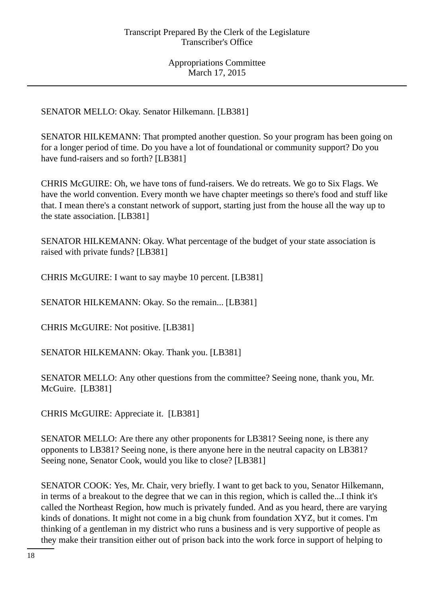SENATOR MELLO: Okay. Senator Hilkemann. [LB381]

SENATOR HILKEMANN: That prompted another question. So your program has been going on for a longer period of time. Do you have a lot of foundational or community support? Do you have fund-raisers and so forth? [LB381]

CHRIS McGUIRE: Oh, we have tons of fund-raisers. We do retreats. We go to Six Flags. We have the world convention. Every month we have chapter meetings so there's food and stuff like that. I mean there's a constant network of support, starting just from the house all the way up to the state association. [LB381]

SENATOR HILKEMANN: Okay. What percentage of the budget of your state association is raised with private funds? [LB381]

CHRIS McGUIRE: I want to say maybe 10 percent. [LB381]

SENATOR HILKEMANN: Okay. So the remain... [LB381]

CHRIS McGUIRE: Not positive. [LB381]

SENATOR HILKEMANN: Okay. Thank you. [LB381]

SENATOR MELLO: Any other questions from the committee? Seeing none, thank you, Mr. McGuire. [LB381]

CHRIS McGUIRE: Appreciate it. [LB381]

SENATOR MELLO: Are there any other proponents for LB381? Seeing none, is there any opponents to LB381? Seeing none, is there anyone here in the neutral capacity on LB381? Seeing none, Senator Cook, would you like to close? [LB381]

SENATOR COOK: Yes, Mr. Chair, very briefly. I want to get back to you, Senator Hilkemann, in terms of a breakout to the degree that we can in this region, which is called the...I think it's called the Northeast Region, how much is privately funded. And as you heard, there are varying kinds of donations. It might not come in a big chunk from foundation XYZ, but it comes. I'm thinking of a gentleman in my district who runs a business and is very supportive of people as they make their transition either out of prison back into the work force in support of helping to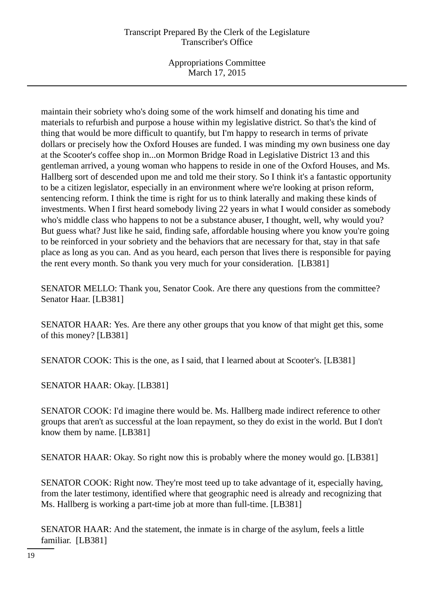Appropriations Committee March 17, 2015

maintain their sobriety who's doing some of the work himself and donating his time and materials to refurbish and purpose a house within my legislative district. So that's the kind of thing that would be more difficult to quantify, but I'm happy to research in terms of private dollars or precisely how the Oxford Houses are funded. I was minding my own business one day at the Scooter's coffee shop in...on Mormon Bridge Road in Legislative District 13 and this gentleman arrived, a young woman who happens to reside in one of the Oxford Houses, and Ms. Hallberg sort of descended upon me and told me their story. So I think it's a fantastic opportunity to be a citizen legislator, especially in an environment where we're looking at prison reform, sentencing reform. I think the time is right for us to think laterally and making these kinds of investments. When I first heard somebody living 22 years in what I would consider as somebody who's middle class who happens to not be a substance abuser, I thought, well, why would you? But guess what? Just like he said, finding safe, affordable housing where you know you're going to be reinforced in your sobriety and the behaviors that are necessary for that, stay in that safe place as long as you can. And as you heard, each person that lives there is responsible for paying the rent every month. So thank you very much for your consideration. [LB381]

SENATOR MELLO: Thank you, Senator Cook. Are there any questions from the committee? Senator Haar. [LB381]

SENATOR HAAR: Yes. Are there any other groups that you know of that might get this, some of this money? [LB381]

SENATOR COOK: This is the one, as I said, that I learned about at Scooter's. [LB381]

SENATOR HAAR: Okay. [LB381]

SENATOR COOK: I'd imagine there would be. Ms. Hallberg made indirect reference to other groups that aren't as successful at the loan repayment, so they do exist in the world. But I don't know them by name. [LB381]

SENATOR HAAR: Okay. So right now this is probably where the money would go. [LB381]

SENATOR COOK: Right now. They're most teed up to take advantage of it, especially having, from the later testimony, identified where that geographic need is already and recognizing that Ms. Hallberg is working a part-time job at more than full-time. [LB381]

SENATOR HAAR: And the statement, the inmate is in charge of the asylum, feels a little familiar. [LB381]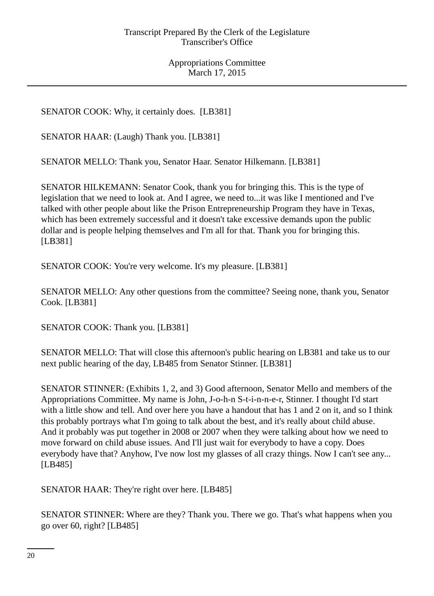SENATOR COOK: Why, it certainly does. [LB381]

SENATOR HAAR: (Laugh) Thank you. [LB381]

SENATOR MELLO: Thank you, Senator Haar. Senator Hilkemann. [LB381]

SENATOR HILKEMANN: Senator Cook, thank you for bringing this. This is the type of legislation that we need to look at. And I agree, we need to...it was like I mentioned and I've talked with other people about like the Prison Entrepreneurship Program they have in Texas, which has been extremely successful and it doesn't take excessive demands upon the public dollar and is people helping themselves and I'm all for that. Thank you for bringing this. [LB381]

SENATOR COOK: You're very welcome. It's my pleasure. [LB381]

SENATOR MELLO: Any other questions from the committee? Seeing none, thank you, Senator Cook. [LB381]

SENATOR COOK: Thank you. [LB381]

SENATOR MELLO: That will close this afternoon's public hearing on LB381 and take us to our next public hearing of the day, LB485 from Senator Stinner. [LB381]

SENATOR STINNER: (Exhibits 1, 2, and 3) Good afternoon, Senator Mello and members of the Appropriations Committee. My name is John, J-o-h-n S-t-i-n-n-e-r, Stinner. I thought I'd start with a little show and tell. And over here you have a handout that has 1 and 2 on it, and so I think this probably portrays what I'm going to talk about the best, and it's really about child abuse. And it probably was put together in 2008 or 2007 when they were talking about how we need to move forward on child abuse issues. And I'll just wait for everybody to have a copy. Does everybody have that? Anyhow, I've now lost my glasses of all crazy things. Now I can't see any... [LB485]

SENATOR HAAR: They're right over here. [LB485]

SENATOR STINNER: Where are they? Thank you. There we go. That's what happens when you go over 60, right? [LB485]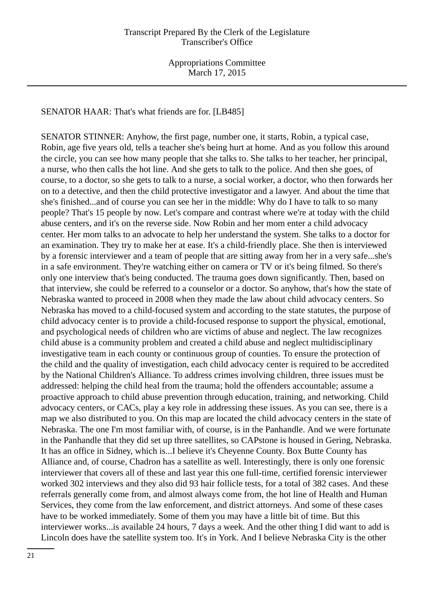SENATOR HAAR: That's what friends are for. [LB485]

SENATOR STINNER: Anyhow, the first page, number one, it starts, Robin, a typical case, Robin, age five years old, tells a teacher she's being hurt at home. And as you follow this around the circle, you can see how many people that she talks to. She talks to her teacher, her principal, a nurse, who then calls the hot line. And she gets to talk to the police. And then she goes, of course, to a doctor, so she gets to talk to a nurse, a social worker, a doctor, who then forwards her on to a detective, and then the child protective investigator and a lawyer. And about the time that she's finished...and of course you can see her in the middle: Why do I have to talk to so many people? That's 15 people by now. Let's compare and contrast where we're at today with the child abuse centers, and it's on the reverse side. Now Robin and her mom enter a child advocacy center. Her mom talks to an advocate to help her understand the system. She talks to a doctor for an examination. They try to make her at ease. It's a child-friendly place. She then is interviewed by a forensic interviewer and a team of people that are sitting away from her in a very safe...she's in a safe environment. They're watching either on camera or TV or it's being filmed. So there's only one interview that's being conducted. The trauma goes down significantly. Then, based on that interview, she could be referred to a counselor or a doctor. So anyhow, that's how the state of Nebraska wanted to proceed in 2008 when they made the law about child advocacy centers. So Nebraska has moved to a child-focused system and according to the state statutes, the purpose of child advocacy center is to provide a child-focused response to support the physical, emotional, and psychological needs of children who are victims of abuse and neglect. The law recognizes child abuse is a community problem and created a child abuse and neglect multidisciplinary investigative team in each county or continuous group of counties. To ensure the protection of the child and the quality of investigation, each child advocacy center is required to be accredited by the National Children's Alliance. To address crimes involving children, three issues must be addressed: helping the child heal from the trauma; hold the offenders accountable; assume a proactive approach to child abuse prevention through education, training, and networking. Child advocacy centers, or CACs, play a key role in addressing these issues. As you can see, there is a map we also distributed to you. On this map are located the child advocacy centers in the state of Nebraska. The one I'm most familiar with, of course, is in the Panhandle. And we were fortunate in the Panhandle that they did set up three satellites, so CAPstone is housed in Gering, Nebraska. It has an office in Sidney, which is...I believe it's Cheyenne County. Box Butte County has Alliance and, of course, Chadron has a satellite as well. Interestingly, there is only one forensic interviewer that covers all of these and last year this one full-time, certified forensic interviewer worked 302 interviews and they also did 93 hair follicle tests, for a total of 382 cases. And these referrals generally come from, and almost always come from, the hot line of Health and Human Services, they come from the law enforcement, and district attorneys. And some of these cases have to be worked immediately. Some of them you may have a little bit of time. But this interviewer works...is available 24 hours, 7 days a week. And the other thing I did want to add is Lincoln does have the satellite system too. It's in York. And I believe Nebraska City is the other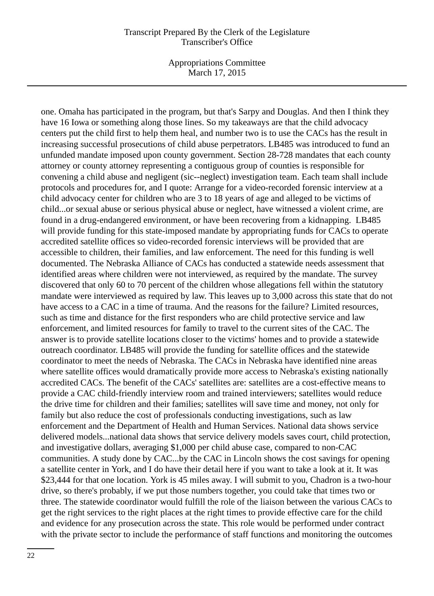Appropriations Committee March 17, 2015

one. Omaha has participated in the program, but that's Sarpy and Douglas. And then I think they have 16 Iowa or something along those lines. So my takeaways are that the child advocacy centers put the child first to help them heal, and number two is to use the CACs has the result in increasing successful prosecutions of child abuse perpetrators. LB485 was introduced to fund an unfunded mandate imposed upon county government. Section 28-728 mandates that each county attorney or county attorney representing a contiguous group of counties is responsible for convening a child abuse and negligent (sic--neglect) investigation team. Each team shall include protocols and procedures for, and I quote: Arrange for a video-recorded forensic interview at a child advocacy center for children who are 3 to 18 years of age and alleged to be victims of child...or sexual abuse or serious physical abuse or neglect, have witnessed a violent crime, are found in a drug-endangered environment, or have been recovering from a kidnapping. LB485 will provide funding for this state-imposed mandate by appropriating funds for CACs to operate accredited satellite offices so video-recorded forensic interviews will be provided that are accessible to children, their families, and law enforcement. The need for this funding is well documented. The Nebraska Alliance of CACs has conducted a statewide needs assessment that identified areas where children were not interviewed, as required by the mandate. The survey discovered that only 60 to 70 percent of the children whose allegations fell within the statutory mandate were interviewed as required by law. This leaves up to 3,000 across this state that do not have access to a CAC in a time of trauma. And the reasons for the failure? Limited resources, such as time and distance for the first responders who are child protective service and law enforcement, and limited resources for family to travel to the current sites of the CAC. The answer is to provide satellite locations closer to the victims' homes and to provide a statewide outreach coordinator. LB485 will provide the funding for satellite offices and the statewide coordinator to meet the needs of Nebraska. The CACs in Nebraska have identified nine areas where satellite offices would dramatically provide more access to Nebraska's existing nationally accredited CACs. The benefit of the CACs' satellites are: satellites are a cost-effective means to provide a CAC child-friendly interview room and trained interviewers; satellites would reduce the drive time for children and their families; satellites will save time and money, not only for family but also reduce the cost of professionals conducting investigations, such as law enforcement and the Department of Health and Human Services. National data shows service delivered models...national data shows that service delivery models saves court, child protection, and investigative dollars, averaging \$1,000 per child abuse case, compared to non-CAC communities. A study done by CAC...by the CAC in Lincoln shows the cost savings for opening a satellite center in York, and I do have their detail here if you want to take a look at it. It was \$23,444 for that one location. York is 45 miles away. I will submit to you, Chadron is a two-hour drive, so there's probably, if we put those numbers together, you could take that times two or three. The statewide coordinator would fulfill the role of the liaison between the various CACs to get the right services to the right places at the right times to provide effective care for the child and evidence for any prosecution across the state. This role would be performed under contract with the private sector to include the performance of staff functions and monitoring the outcomes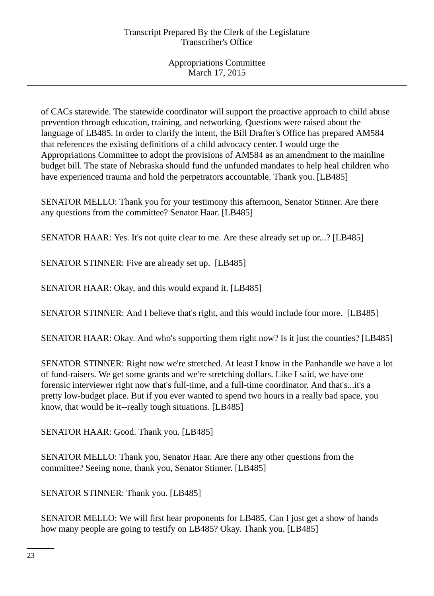of CACs statewide. The statewide coordinator will support the proactive approach to child abuse prevention through education, training, and networking. Questions were raised about the language of LB485. In order to clarify the intent, the Bill Drafter's Office has prepared AM584 that references the existing definitions of a child advocacy center. I would urge the Appropriations Committee to adopt the provisions of AM584 as an amendment to the mainline budget bill. The state of Nebraska should fund the unfunded mandates to help heal children who have experienced trauma and hold the perpetrators accountable. Thank you. [LB485]

SENATOR MELLO: Thank you for your testimony this afternoon, Senator Stinner. Are there any questions from the committee? Senator Haar. [LB485]

SENATOR HAAR: Yes. It's not quite clear to me. Are these already set up or...? [LB485]

SENATOR STINNER: Five are already set up. [LB485]

SENATOR HAAR: Okay, and this would expand it. [LB485]

SENATOR STINNER: And I believe that's right, and this would include four more. [LB485]

SENATOR HAAR: Okay. And who's supporting them right now? Is it just the counties? [LB485]

SENATOR STINNER: Right now we're stretched. At least I know in the Panhandle we have a lot of fund-raisers. We get some grants and we're stretching dollars. Like I said, we have one forensic interviewer right now that's full-time, and a full-time coordinator. And that's...it's a pretty low-budget place. But if you ever wanted to spend two hours in a really bad space, you know, that would be it--really tough situations. [LB485]

SENATOR HAAR: Good. Thank you. [LB485]

SENATOR MELLO: Thank you, Senator Haar. Are there any other questions from the committee? Seeing none, thank you, Senator Stinner. [LB485]

SENATOR STINNER: Thank you. [LB485]

SENATOR MELLO: We will first hear proponents for LB485. Can I just get a show of hands how many people are going to testify on LB485? Okay. Thank you. [LB485]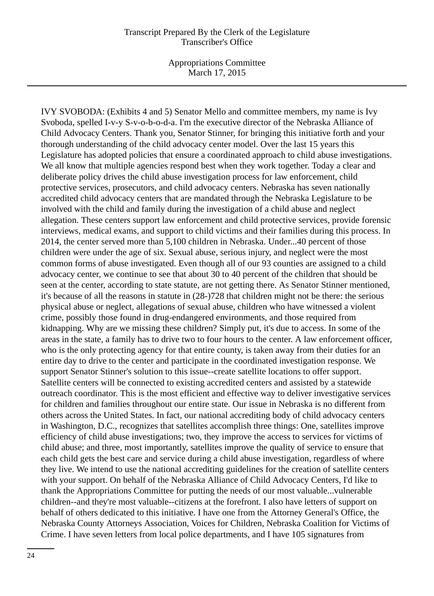Appropriations Committee March 17, 2015

IVY SVOBODA: (Exhibits 4 and 5) Senator Mello and committee members, my name is Ivy Svoboda, spelled I-v-y S-v-o-b-o-d-a. I'm the executive director of the Nebraska Alliance of Child Advocacy Centers. Thank you, Senator Stinner, for bringing this initiative forth and your thorough understanding of the child advocacy center model. Over the last 15 years this Legislature has adopted policies that ensure a coordinated approach to child abuse investigations. We all know that multiple agencies respond best when they work together. Today a clear and deliberate policy drives the child abuse investigation process for law enforcement, child protective services, prosecutors, and child advocacy centers. Nebraska has seven nationally accredited child advocacy centers that are mandated through the Nebraska Legislature to be involved with the child and family during the investigation of a child abuse and neglect allegation. These centers support law enforcement and child protective services, provide forensic interviews, medical exams, and support to child victims and their families during this process. In 2014, the center served more than 5,100 children in Nebraska. Under...40 percent of those children were under the age of six. Sexual abuse, serious injury, and neglect were the most common forms of abuse investigated. Even though all of our 93 counties are assigned to a child advocacy center, we continue to see that about 30 to 40 percent of the children that should be seen at the center, according to state statute, are not getting there. As Senator Stinner mentioned, it's because of all the reasons in statute in (28-)728 that children might not be there: the serious physical abuse or neglect, allegations of sexual abuse, children who have witnessed a violent crime, possibly those found in drug-endangered environments, and those required from kidnapping. Why are we missing these children? Simply put, it's due to access. In some of the areas in the state, a family has to drive two to four hours to the center. A law enforcement officer, who is the only protecting agency for that entire county, is taken away from their duties for an entire day to drive to the center and participate in the coordinated investigation response. We support Senator Stinner's solution to this issue--create satellite locations to offer support. Satellite centers will be connected to existing accredited centers and assisted by a statewide outreach coordinator. This is the most efficient and effective way to deliver investigative services for children and families throughout our entire state. Our issue in Nebraska is no different from others across the United States. In fact, our national accrediting body of child advocacy centers in Washington, D.C., recognizes that satellites accomplish three things: One, satellites improve efficiency of child abuse investigations; two, they improve the access to services for victims of child abuse; and three, most importantly, satellites improve the quality of service to ensure that each child gets the best care and service during a child abuse investigation, regardless of where they live. We intend to use the national accrediting guidelines for the creation of satellite centers with your support. On behalf of the Nebraska Alliance of Child Advocacy Centers, I'd like to thank the Appropriations Committee for putting the needs of our most valuable...vulnerable children--and they're most valuable--citizens at the forefront. I also have letters of support on behalf of others dedicated to this initiative. I have one from the Attorney General's Office, the Nebraska County Attorneys Association, Voices for Children, Nebraska Coalition for Victims of Crime. I have seven letters from local police departments, and I have 105 signatures from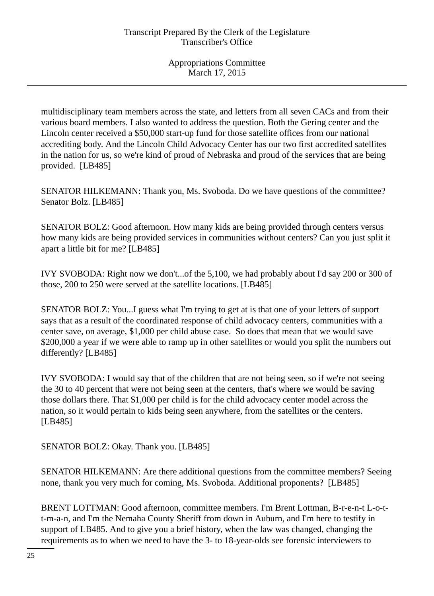multidisciplinary team members across the state, and letters from all seven CACs and from their various board members. I also wanted to address the question. Both the Gering center and the Lincoln center received a \$50,000 start-up fund for those satellite offices from our national accrediting body. And the Lincoln Child Advocacy Center has our two first accredited satellites in the nation for us, so we're kind of proud of Nebraska and proud of the services that are being provided. [LB485]

SENATOR HILKEMANN: Thank you, Ms. Svoboda. Do we have questions of the committee? Senator Bolz. [LB485]

SENATOR BOLZ: Good afternoon. How many kids are being provided through centers versus how many kids are being provided services in communities without centers? Can you just split it apart a little bit for me? [LB485]

IVY SVOBODA: Right now we don't...of the 5,100, we had probably about I'd say 200 or 300 of those, 200 to 250 were served at the satellite locations. [LB485]

SENATOR BOLZ: You...I guess what I'm trying to get at is that one of your letters of support says that as a result of the coordinated response of child advocacy centers, communities with a center save, on average, \$1,000 per child abuse case. So does that mean that we would save \$200,000 a year if we were able to ramp up in other satellites or would you split the numbers out differently? [LB485]

IVY SVOBODA: I would say that of the children that are not being seen, so if we're not seeing the 30 to 40 percent that were not being seen at the centers, that's where we would be saving those dollars there. That \$1,000 per child is for the child advocacy center model across the nation, so it would pertain to kids being seen anywhere, from the satellites or the centers. [LB485]

SENATOR BOLZ: Okay. Thank you. [LB485]

SENATOR HILKEMANN: Are there additional questions from the committee members? Seeing none, thank you very much for coming, Ms. Svoboda. Additional proponents? [LB485]

BRENT LOTTMAN: Good afternoon, committee members. I'm Brent Lottman, B-r-e-n-t L-o-tt-m-a-n, and I'm the Nemaha County Sheriff from down in Auburn, and I'm here to testify in support of LB485. And to give you a brief history, when the law was changed, changing the requirements as to when we need to have the 3- to 18-year-olds see forensic interviewers to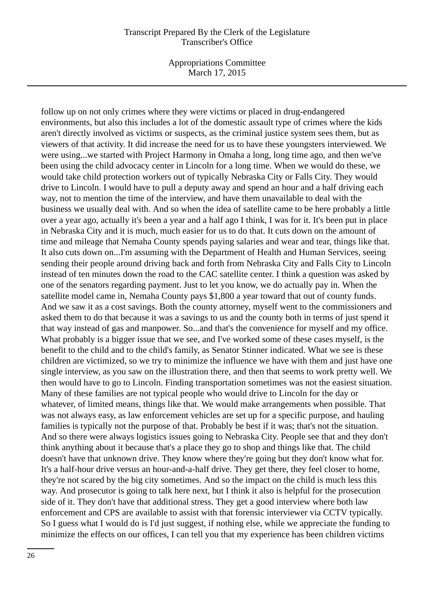Appropriations Committee March 17, 2015

follow up on not only crimes where they were victims or placed in drug-endangered environments, but also this includes a lot of the domestic assault type of crimes where the kids aren't directly involved as victims or suspects, as the criminal justice system sees them, but as viewers of that activity. It did increase the need for us to have these youngsters interviewed. We were using...we started with Project Harmony in Omaha a long, long time ago, and then we've been using the child advocacy center in Lincoln for a long time. When we would do these, we would take child protection workers out of typically Nebraska City or Falls City. They would drive to Lincoln. I would have to pull a deputy away and spend an hour and a half driving each way, not to mention the time of the interview, and have them unavailable to deal with the business we usually deal with. And so when the idea of satellite came to be here probably a little over a year ago, actually it's been a year and a half ago I think, I was for it. It's been put in place in Nebraska City and it is much, much easier for us to do that. It cuts down on the amount of time and mileage that Nemaha County spends paying salaries and wear and tear, things like that. It also cuts down on...I'm assuming with the Department of Health and Human Services, seeing sending their people around driving back and forth from Nebraska City and Falls City to Lincoln instead of ten minutes down the road to the CAC satellite center. I think a question was asked by one of the senators regarding payment. Just to let you know, we do actually pay in. When the satellite model came in, Nemaha County pays \$1,800 a year toward that out of county funds. And we saw it as a cost savings. Both the county attorney, myself went to the commissioners and asked them to do that because it was a savings to us and the county both in terms of just spend it that way instead of gas and manpower. So...and that's the convenience for myself and my office. What probably is a bigger issue that we see, and I've worked some of these cases myself, is the benefit to the child and to the child's family, as Senator Stinner indicated. What we see is these children are victimized, so we try to minimize the influence we have with them and just have one single interview, as you saw on the illustration there, and then that seems to work pretty well. We then would have to go to Lincoln. Finding transportation sometimes was not the easiest situation. Many of these families are not typical people who would drive to Lincoln for the day or whatever, of limited means, things like that. We would make arrangements when possible. That was not always easy, as law enforcement vehicles are set up for a specific purpose, and hauling families is typically not the purpose of that. Probably be best if it was; that's not the situation. And so there were always logistics issues going to Nebraska City. People see that and they don't think anything about it because that's a place they go to shop and things like that. The child doesn't have that unknown drive. They know where they're going but they don't know what for. It's a half-hour drive versus an hour-and-a-half drive. They get there, they feel closer to home, they're not scared by the big city sometimes. And so the impact on the child is much less this way. And prosecutor is going to talk here next, but I think it also is helpful for the prosecution side of it. They don't have that additional stress. They get a good interview where both law enforcement and CPS are available to assist with that forensic interviewer via CCTV typically. So I guess what I would do is I'd just suggest, if nothing else, while we appreciate the funding to minimize the effects on our offices, I can tell you that my experience has been children victims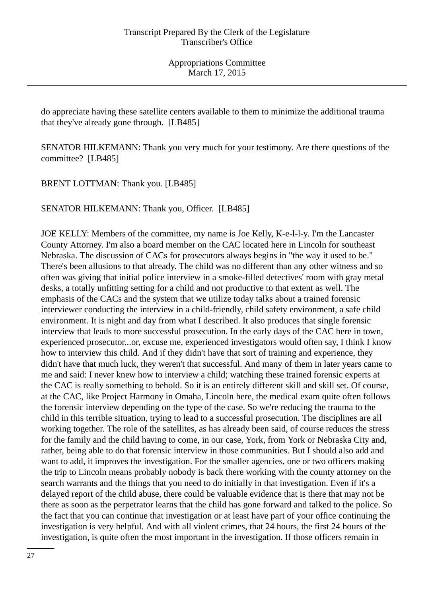do appreciate having these satellite centers available to them to minimize the additional trauma that they've already gone through. [LB485]

SENATOR HILKEMANN: Thank you very much for your testimony. Are there questions of the committee? [LB485]

BRENT LOTTMAN: Thank you. [LB485]

SENATOR HILKEMANN: Thank you, Officer. [LB485]

JOE KELLY: Members of the committee, my name is Joe Kelly, K-e-l-l-y. I'm the Lancaster County Attorney. I'm also a board member on the CAC located here in Lincoln for southeast Nebraska. The discussion of CACs for prosecutors always begins in "the way it used to be." There's been allusions to that already. The child was no different than any other witness and so often was giving that initial police interview in a smoke-filled detectives' room with gray metal desks, a totally unfitting setting for a child and not productive to that extent as well. The emphasis of the CACs and the system that we utilize today talks about a trained forensic interviewer conducting the interview in a child-friendly, child safety environment, a safe child environment. It is night and day from what I described. It also produces that single forensic interview that leads to more successful prosecution. In the early days of the CAC here in town, experienced prosecutor...or, excuse me, experienced investigators would often say, I think I know how to interview this child. And if they didn't have that sort of training and experience, they didn't have that much luck, they weren't that successful. And many of them in later years came to me and said: I never knew how to interview a child; watching these trained forensic experts at the CAC is really something to behold. So it is an entirely different skill and skill set. Of course, at the CAC, like Project Harmony in Omaha, Lincoln here, the medical exam quite often follows the forensic interview depending on the type of the case. So we're reducing the trauma to the child in this terrible situation, trying to lead to a successful prosecution. The disciplines are all working together. The role of the satellites, as has already been said, of course reduces the stress for the family and the child having to come, in our case, York, from York or Nebraska City and, rather, being able to do that forensic interview in those communities. But I should also add and want to add, it improves the investigation. For the smaller agencies, one or two officers making the trip to Lincoln means probably nobody is back there working with the county attorney on the search warrants and the things that you need to do initially in that investigation. Even if it's a delayed report of the child abuse, there could be valuable evidence that is there that may not be there as soon as the perpetrator learns that the child has gone forward and talked to the police. So the fact that you can continue that investigation or at least have part of your office continuing the investigation is very helpful. And with all violent crimes, that 24 hours, the first 24 hours of the investigation, is quite often the most important in the investigation. If those officers remain in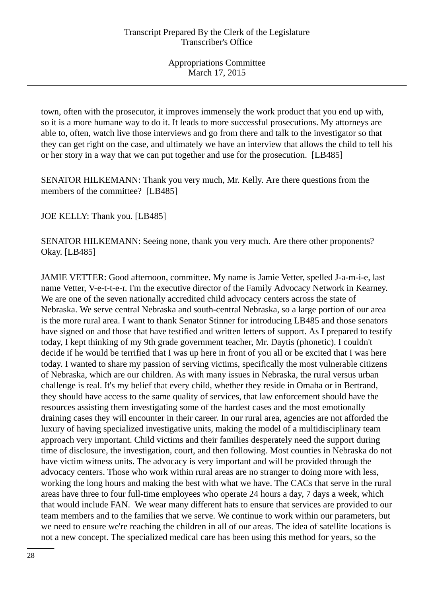town, often with the prosecutor, it improves immensely the work product that you end up with, so it is a more humane way to do it. It leads to more successful prosecutions. My attorneys are able to, often, watch live those interviews and go from there and talk to the investigator so that they can get right on the case, and ultimately we have an interview that allows the child to tell his or her story in a way that we can put together and use for the prosecution. [LB485]

SENATOR HILKEMANN: Thank you very much, Mr. Kelly. Are there questions from the members of the committee? [LB485]

JOE KELLY: Thank you. [LB485]

SENATOR HILKEMANN: Seeing none, thank you very much. Are there other proponents? Okay. [LB485]

JAMIE VETTER: Good afternoon, committee. My name is Jamie Vetter, spelled J-a-m-i-e, last name Vetter, V-e-t-t-e-r. I'm the executive director of the Family Advocacy Network in Kearney. We are one of the seven nationally accredited child advocacy centers across the state of Nebraska. We serve central Nebraska and south-central Nebraska, so a large portion of our area is the more rural area. I want to thank Senator Stinner for introducing LB485 and those senators have signed on and those that have testified and written letters of support. As I prepared to testify today, I kept thinking of my 9th grade government teacher, Mr. Daytis (phonetic). I couldn't decide if he would be terrified that I was up here in front of you all or be excited that I was here today. I wanted to share my passion of serving victims, specifically the most vulnerable citizens of Nebraska, which are our children. As with many issues in Nebraska, the rural versus urban challenge is real. It's my belief that every child, whether they reside in Omaha or in Bertrand, they should have access to the same quality of services, that law enforcement should have the resources assisting them investigating some of the hardest cases and the most emotionally draining cases they will encounter in their career. In our rural area, agencies are not afforded the luxury of having specialized investigative units, making the model of a multidisciplinary team approach very important. Child victims and their families desperately need the support during time of disclosure, the investigation, court, and then following. Most counties in Nebraska do not have victim witness units. The advocacy is very important and will be provided through the advocacy centers. Those who work within rural areas are no stranger to doing more with less, working the long hours and making the best with what we have. The CACs that serve in the rural areas have three to four full-time employees who operate 24 hours a day, 7 days a week, which that would include FAN. We wear many different hats to ensure that services are provided to our team members and to the families that we serve. We continue to work within our parameters, but we need to ensure we're reaching the children in all of our areas. The idea of satellite locations is not a new concept. The specialized medical care has been using this method for years, so the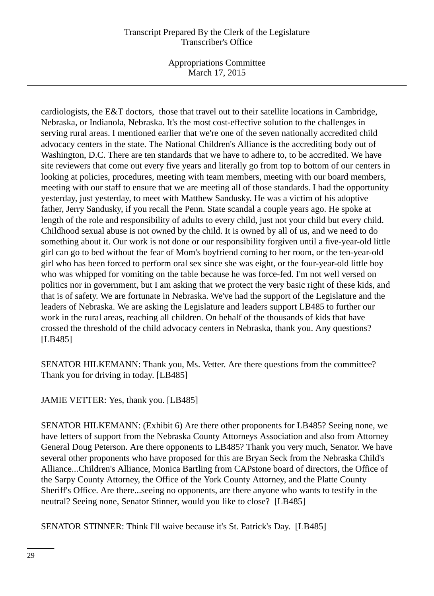Appropriations Committee March 17, 2015

cardiologists, the E&T doctors, those that travel out to their satellite locations in Cambridge, Nebraska, or Indianola, Nebraska. It's the most cost-effective solution to the challenges in serving rural areas. I mentioned earlier that we're one of the seven nationally accredited child advocacy centers in the state. The National Children's Alliance is the accrediting body out of Washington, D.C. There are ten standards that we have to adhere to, to be accredited. We have site reviewers that come out every five years and literally go from top to bottom of our centers in looking at policies, procedures, meeting with team members, meeting with our board members, meeting with our staff to ensure that we are meeting all of those standards. I had the opportunity yesterday, just yesterday, to meet with Matthew Sandusky. He was a victim of his adoptive father, Jerry Sandusky, if you recall the Penn. State scandal a couple years ago. He spoke at length of the role and responsibility of adults to every child, just not your child but every child. Childhood sexual abuse is not owned by the child. It is owned by all of us, and we need to do something about it. Our work is not done or our responsibility forgiven until a five-year-old little girl can go to bed without the fear of Mom's boyfriend coming to her room, or the ten-year-old girl who has been forced to perform oral sex since she was eight, or the four-year-old little boy who was whipped for vomiting on the table because he was force-fed. I'm not well versed on politics nor in government, but I am asking that we protect the very basic right of these kids, and that is of safety. We are fortunate in Nebraska. We've had the support of the Legislature and the leaders of Nebraska. We are asking the Legislature and leaders support LB485 to further our work in the rural areas, reaching all children. On behalf of the thousands of kids that have crossed the threshold of the child advocacy centers in Nebraska, thank you. Any questions? [LB485]

SENATOR HILKEMANN: Thank you, Ms. Vetter. Are there questions from the committee? Thank you for driving in today. [LB485]

JAMIE VETTER: Yes, thank you. [LB485]

SENATOR HILKEMANN: (Exhibit 6) Are there other proponents for LB485? Seeing none, we have letters of support from the Nebraska County Attorneys Association and also from Attorney General Doug Peterson. Are there opponents to LB485? Thank you very much, Senator. We have several other proponents who have proposed for this are Bryan Seck from the Nebraska Child's Alliance...Children's Alliance, Monica Bartling from CAPstone board of directors, the Office of the Sarpy County Attorney, the Office of the York County Attorney, and the Platte County Sheriff's Office. Are there...seeing no opponents, are there anyone who wants to testify in the neutral? Seeing none, Senator Stinner, would you like to close? [LB485]

SENATOR STINNER: Think I'll waive because it's St. Patrick's Day. [LB485]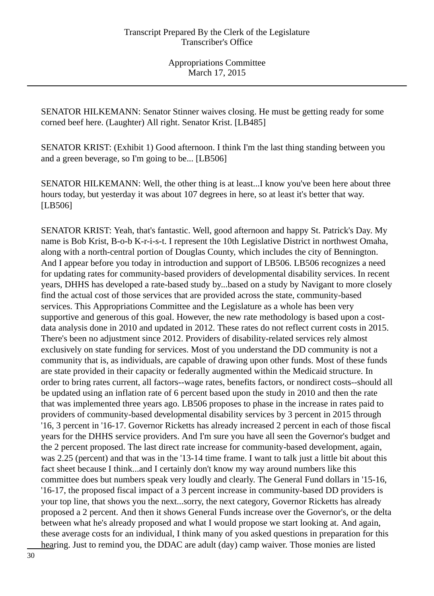SENATOR HILKEMANN: Senator Stinner waives closing. He must be getting ready for some corned beef here. (Laughter) All right. Senator Krist. [LB485]

SENATOR KRIST: (Exhibit 1) Good afternoon. I think I'm the last thing standing between you and a green beverage, so I'm going to be... [LB506]

SENATOR HILKEMANN: Well, the other thing is at least...I know you've been here about three hours today, but yesterday it was about 107 degrees in here, so at least it's better that way. [LB506]

SENATOR KRIST: Yeah, that's fantastic. Well, good afternoon and happy St. Patrick's Day. My name is Bob Krist, B-o-b K-r-i-s-t. I represent the 10th Legislative District in northwest Omaha, along with a north-central portion of Douglas County, which includes the city of Bennington. And I appear before you today in introduction and support of LB506. LB506 recognizes a need for updating rates for community-based providers of developmental disability services. In recent years, DHHS has developed a rate-based study by...based on a study by Navigant to more closely find the actual cost of those services that are provided across the state, community-based services. This Appropriations Committee and the Legislature as a whole has been very supportive and generous of this goal. However, the new rate methodology is based upon a costdata analysis done in 2010 and updated in 2012. These rates do not reflect current costs in 2015. There's been no adjustment since 2012. Providers of disability-related services rely almost exclusively on state funding for services. Most of you understand the DD community is not a community that is, as individuals, are capable of drawing upon other funds. Most of these funds are state provided in their capacity or federally augmented within the Medicaid structure. In order to bring rates current, all factors--wage rates, benefits factors, or nondirect costs--should all be updated using an inflation rate of 6 percent based upon the study in 2010 and then the rate that was implemented three years ago. LB506 proposes to phase in the increase in rates paid to providers of community-based developmental disability services by 3 percent in 2015 through '16, 3 percent in '16-17. Governor Ricketts has already increased 2 percent in each of those fiscal years for the DHHS service providers. And I'm sure you have all seen the Governor's budget and the 2 percent proposed. The last direct rate increase for community-based development, again, was 2.25 (percent) and that was in the '13-14 time frame. I want to talk just a little bit about this fact sheet because I think...and I certainly don't know my way around numbers like this committee does but numbers speak very loudly and clearly. The General Fund dollars in '15-16, '16-17, the proposed fiscal impact of a 3 percent increase in community-based DD providers is your top line, that shows you the next...sorry, the next category, Governor Ricketts has already proposed a 2 percent. And then it shows General Funds increase over the Governor's, or the delta between what he's already proposed and what I would propose we start looking at. And again, these average costs for an individual, I think many of you asked questions in preparation for this hearing. Just to remind you, the DDAC are adult (day) camp waiver. Those monies are listed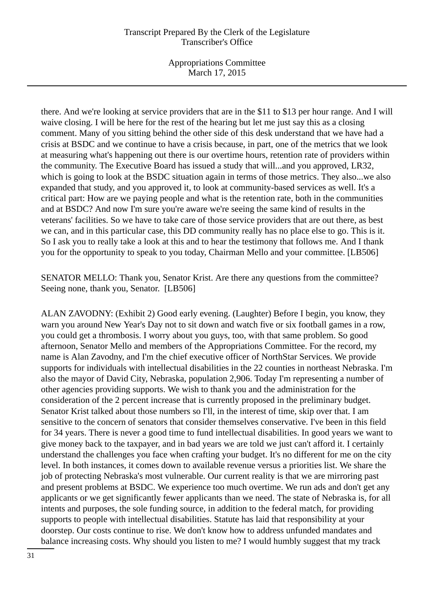Appropriations Committee March 17, 2015

there. And we're looking at service providers that are in the \$11 to \$13 per hour range. And I will waive closing. I will be here for the rest of the hearing but let me just say this as a closing comment. Many of you sitting behind the other side of this desk understand that we have had a crisis at BSDC and we continue to have a crisis because, in part, one of the metrics that we look at measuring what's happening out there is our overtime hours, retention rate of providers within the community. The Executive Board has issued a study that will...and you approved, LR32, which is going to look at the BSDC situation again in terms of those metrics. They also...we also expanded that study, and you approved it, to look at community-based services as well. It's a critical part: How are we paying people and what is the retention rate, both in the communities and at BSDC? And now I'm sure you're aware we're seeing the same kind of results in the veterans' facilities. So we have to take care of those service providers that are out there, as best we can, and in this particular case, this DD community really has no place else to go. This is it. So I ask you to really take a look at this and to hear the testimony that follows me. And I thank you for the opportunity to speak to you today, Chairman Mello and your committee. [LB506]

SENATOR MELLO: Thank you, Senator Krist. Are there any questions from the committee? Seeing none, thank you, Senator. [LB506]

ALAN ZAVODNY: (Exhibit 2) Good early evening. (Laughter) Before I begin, you know, they warn you around New Year's Day not to sit down and watch five or six football games in a row, you could get a thrombosis. I worry about you guys, too, with that same problem. So good afternoon, Senator Mello and members of the Appropriations Committee. For the record, my name is Alan Zavodny, and I'm the chief executive officer of NorthStar Services. We provide supports for individuals with intellectual disabilities in the 22 counties in northeast Nebraska. I'm also the mayor of David City, Nebraska, population 2,906. Today I'm representing a number of other agencies providing supports. We wish to thank you and the administration for the consideration of the 2 percent increase that is currently proposed in the preliminary budget. Senator Krist talked about those numbers so I'll, in the interest of time, skip over that. I am sensitive to the concern of senators that consider themselves conservative. I've been in this field for 34 years. There is never a good time to fund intellectual disabilities. In good years we want to give money back to the taxpayer, and in bad years we are told we just can't afford it. I certainly understand the challenges you face when crafting your budget. It's no different for me on the city level. In both instances, it comes down to available revenue versus a priorities list. We share the job of protecting Nebraska's most vulnerable. Our current reality is that we are mirroring past and present problems at BSDC. We experience too much overtime. We run ads and don't get any applicants or we get significantly fewer applicants than we need. The state of Nebraska is, for all intents and purposes, the sole funding source, in addition to the federal match, for providing supports to people with intellectual disabilities. Statute has laid that responsibility at your doorstep. Our costs continue to rise. We don't know how to address unfunded mandates and balance increasing costs. Why should you listen to me? I would humbly suggest that my track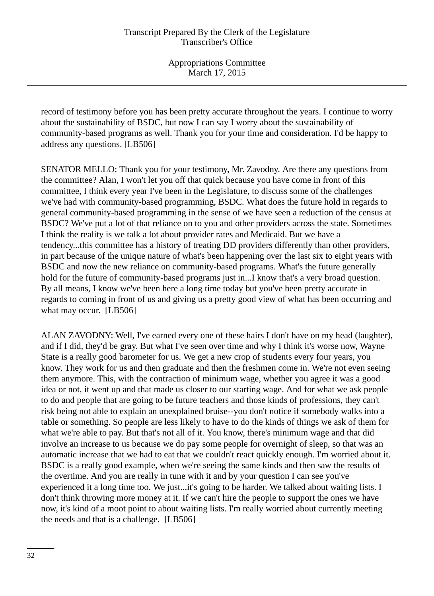record of testimony before you has been pretty accurate throughout the years. I continue to worry about the sustainability of BSDC, but now I can say I worry about the sustainability of community-based programs as well. Thank you for your time and consideration. I'd be happy to address any questions. [LB506]

SENATOR MELLO: Thank you for your testimony, Mr. Zavodny. Are there any questions from the committee? Alan, I won't let you off that quick because you have come in front of this committee, I think every year I've been in the Legislature, to discuss some of the challenges we've had with community-based programming, BSDC. What does the future hold in regards to general community-based programming in the sense of we have seen a reduction of the census at BSDC? We've put a lot of that reliance on to you and other providers across the state. Sometimes I think the reality is we talk a lot about provider rates and Medicaid. But we have a tendency...this committee has a history of treating DD providers differently than other providers, in part because of the unique nature of what's been happening over the last six to eight years with BSDC and now the new reliance on community-based programs. What's the future generally hold for the future of community-based programs just in...I know that's a very broad question. By all means, I know we've been here a long time today but you've been pretty accurate in regards to coming in front of us and giving us a pretty good view of what has been occurring and what may occur. [LB506]

ALAN ZAVODNY: Well, I've earned every one of these hairs I don't have on my head (laughter), and if I did, they'd be gray. But what I've seen over time and why I think it's worse now, Wayne State is a really good barometer for us. We get a new crop of students every four years, you know. They work for us and then graduate and then the freshmen come in. We're not even seeing them anymore. This, with the contraction of minimum wage, whether you agree it was a good idea or not, it went up and that made us closer to our starting wage. And for what we ask people to do and people that are going to be future teachers and those kinds of professions, they can't risk being not able to explain an unexplained bruise--you don't notice if somebody walks into a table or something. So people are less likely to have to do the kinds of things we ask of them for what we're able to pay. But that's not all of it. You know, there's minimum wage and that did involve an increase to us because we do pay some people for overnight of sleep, so that was an automatic increase that we had to eat that we couldn't react quickly enough. I'm worried about it. BSDC is a really good example, when we're seeing the same kinds and then saw the results of the overtime. And you are really in tune with it and by your question I can see you've experienced it a long time too. We just...it's going to be harder. We talked about waiting lists. I don't think throwing more money at it. If we can't hire the people to support the ones we have now, it's kind of a moot point to about waiting lists. I'm really worried about currently meeting the needs and that is a challenge. [LB506]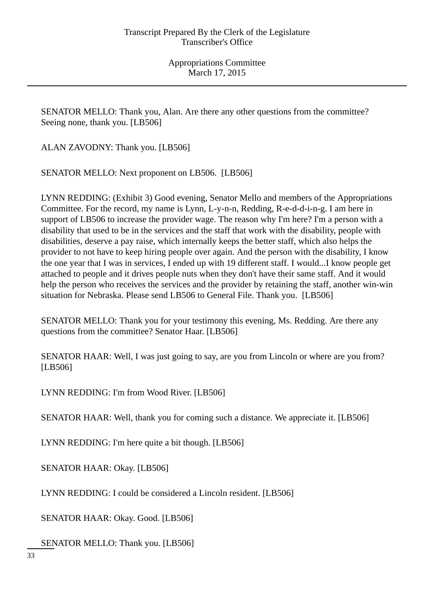SENATOR MELLO: Thank you, Alan. Are there any other questions from the committee? Seeing none, thank you. [LB506]

ALAN ZAVODNY: Thank you. [LB506]

SENATOR MELLO: Next proponent on LB506. [LB506]

LYNN REDDING: (Exhibit 3) Good evening, Senator Mello and members of the Appropriations Committee. For the record, my name is Lynn, L-y-n-n, Redding, R-e-d-d-i-n-g. I am here in support of LB506 to increase the provider wage. The reason why I'm here? I'm a person with a disability that used to be in the services and the staff that work with the disability, people with disabilities, deserve a pay raise, which internally keeps the better staff, which also helps the provider to not have to keep hiring people over again. And the person with the disability, I know the one year that I was in services, I ended up with 19 different staff. I would...I know people get attached to people and it drives people nuts when they don't have their same staff. And it would help the person who receives the services and the provider by retaining the staff, another win-win situation for Nebraska. Please send LB506 to General File. Thank you. [LB506]

SENATOR MELLO: Thank you for your testimony this evening, Ms. Redding. Are there any questions from the committee? Senator Haar. [LB506]

SENATOR HAAR: Well, I was just going to say, are you from Lincoln or where are you from? [LB506]

LYNN REDDING: I'm from Wood River. [LB506]

SENATOR HAAR: Well, thank you for coming such a distance. We appreciate it. [LB506]

LYNN REDDING: I'm here quite a bit though. [LB506]

SENATOR HAAR: Okay. [LB506]

LYNN REDDING: I could be considered a Lincoln resident. [LB506]

SENATOR HAAR: Okay. Good. [LB506]

SENATOR MELLO: Thank you. [LB506]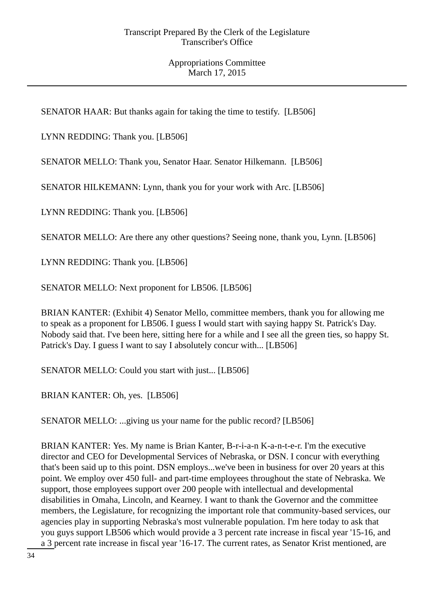SENATOR HAAR: But thanks again for taking the time to testify. [LB506]

LYNN REDDING: Thank you. [LB506]

SENATOR MELLO: Thank you, Senator Haar. Senator Hilkemann. [LB506]

SENATOR HILKEMANN: Lynn, thank you for your work with Arc. [LB506]

LYNN REDDING: Thank you. [LB506]

SENATOR MELLO: Are there any other questions? Seeing none, thank you, Lynn. [LB506]

LYNN REDDING: Thank you. [LB506]

SENATOR MELLO: Next proponent for LB506. [LB506]

BRIAN KANTER: (Exhibit 4) Senator Mello, committee members, thank you for allowing me to speak as a proponent for LB506. I guess I would start with saying happy St. Patrick's Day. Nobody said that. I've been here, sitting here for a while and I see all the green ties, so happy St. Patrick's Day. I guess I want to say I absolutely concur with... [LB506]

SENATOR MELLO: Could you start with just... [LB506]

BRIAN KANTER: Oh, yes. [LB506]

SENATOR MELLO: ...giving us your name for the public record? [LB506]

BRIAN KANTER: Yes. My name is Brian Kanter, B-r-i-a-n K-a-n-t-e-r. I'm the executive director and CEO for Developmental Services of Nebraska, or DSN. I concur with everything that's been said up to this point. DSN employs...we've been in business for over 20 years at this point. We employ over 450 full- and part-time employees throughout the state of Nebraska. We support, those employees support over 200 people with intellectual and developmental disabilities in Omaha, Lincoln, and Kearney. I want to thank the Governor and the committee members, the Legislature, for recognizing the important role that community-based services, our agencies play in supporting Nebraska's most vulnerable population. I'm here today to ask that you guys support LB506 which would provide a 3 percent rate increase in fiscal year '15-16, and a 3 percent rate increase in fiscal year '16-17. The current rates, as Senator Krist mentioned, are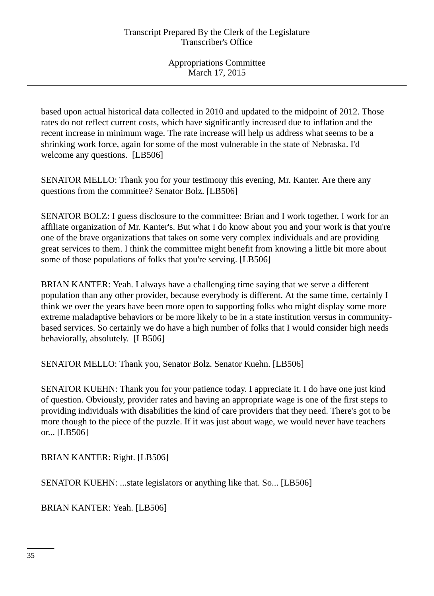based upon actual historical data collected in 2010 and updated to the midpoint of 2012. Those rates do not reflect current costs, which have significantly increased due to inflation and the recent increase in minimum wage. The rate increase will help us address what seems to be a shrinking work force, again for some of the most vulnerable in the state of Nebraska. I'd welcome any questions. [LB506]

SENATOR MELLO: Thank you for your testimony this evening, Mr. Kanter. Are there any questions from the committee? Senator Bolz. [LB506]

SENATOR BOLZ: I guess disclosure to the committee: Brian and I work together. I work for an affiliate organization of Mr. Kanter's. But what I do know about you and your work is that you're one of the brave organizations that takes on some very complex individuals and are providing great services to them. I think the committee might benefit from knowing a little bit more about some of those populations of folks that you're serving. [LB506]

BRIAN KANTER: Yeah. I always have a challenging time saying that we serve a different population than any other provider, because everybody is different. At the same time, certainly I think we over the years have been more open to supporting folks who might display some more extreme maladaptive behaviors or be more likely to be in a state institution versus in communitybased services. So certainly we do have a high number of folks that I would consider high needs behaviorally, absolutely. [LB506]

SENATOR MELLO: Thank you, Senator Bolz. Senator Kuehn. [LB506]

SENATOR KUEHN: Thank you for your patience today. I appreciate it. I do have one just kind of question. Obviously, provider rates and having an appropriate wage is one of the first steps to providing individuals with disabilities the kind of care providers that they need. There's got to be more though to the piece of the puzzle. If it was just about wage, we would never have teachers or... [LB506]

BRIAN KANTER: Right. [LB506]

SENATOR KUEHN: ...state legislators or anything like that. So... [LB506]

BRIAN KANTER: Yeah. [LB506]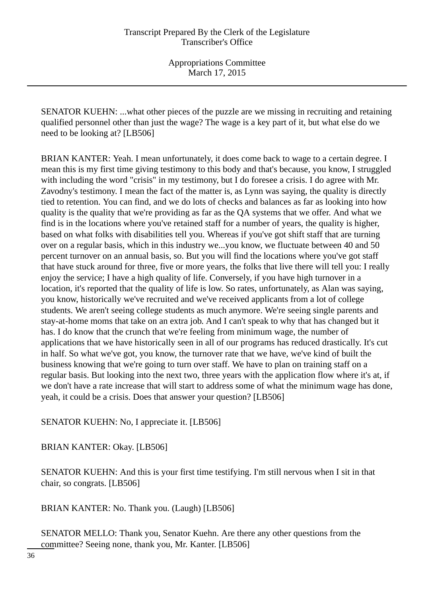SENATOR KUEHN: ...what other pieces of the puzzle are we missing in recruiting and retaining qualified personnel other than just the wage? The wage is a key part of it, but what else do we need to be looking at? [LB506]

BRIAN KANTER: Yeah. I mean unfortunately, it does come back to wage to a certain degree. I mean this is my first time giving testimony to this body and that's because, you know, I struggled with including the word "crisis" in my testimony, but I do foresee a crisis. I do agree with Mr. Zavodny's testimony. I mean the fact of the matter is, as Lynn was saying, the quality is directly tied to retention. You can find, and we do lots of checks and balances as far as looking into how quality is the quality that we're providing as far as the QA systems that we offer. And what we find is in the locations where you've retained staff for a number of years, the quality is higher, based on what folks with disabilities tell you. Whereas if you've got shift staff that are turning over on a regular basis, which in this industry we...you know, we fluctuate between 40 and 50 percent turnover on an annual basis, so. But you will find the locations where you've got staff that have stuck around for three, five or more years, the folks that live there will tell you: I really enjoy the service; I have a high quality of life. Conversely, if you have high turnover in a location, it's reported that the quality of life is low. So rates, unfortunately, as Alan was saying, you know, historically we've recruited and we've received applicants from a lot of college students. We aren't seeing college students as much anymore. We're seeing single parents and stay-at-home moms that take on an extra job. And I can't speak to why that has changed but it has. I do know that the crunch that we're feeling from minimum wage, the number of applications that we have historically seen in all of our programs has reduced drastically. It's cut in half. So what we've got, you know, the turnover rate that we have, we've kind of built the business knowing that we're going to turn over staff. We have to plan on training staff on a regular basis. But looking into the next two, three years with the application flow where it's at, if we don't have a rate increase that will start to address some of what the minimum wage has done, yeah, it could be a crisis. Does that answer your question? [LB506]

SENATOR KUEHN: No, I appreciate it. [LB506]

BRIAN KANTER: Okay. [LB506]

SENATOR KUEHN: And this is your first time testifying. I'm still nervous when I sit in that chair, so congrats. [LB506]

BRIAN KANTER: No. Thank you. (Laugh) [LB506]

SENATOR MELLO: Thank you, Senator Kuehn. Are there any other questions from the committee? Seeing none, thank you, Mr. Kanter. [LB506]